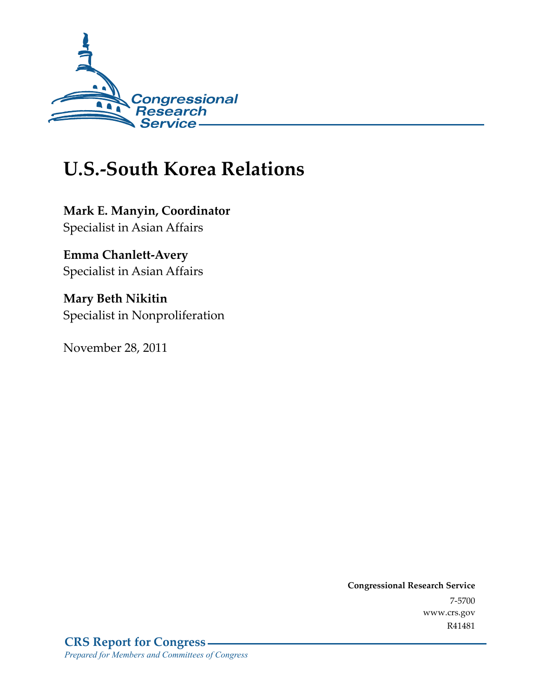

# **U.S.-South Korea Relations**

**Mark E. Manyin, Coordinator**  Specialist in Asian Affairs

**Emma Chanlett-Avery**  Specialist in Asian Affairs

**Mary Beth Nikitin**  Specialist in Nonproliferation

November 28, 2011

**Congressional Research Service**  7-5700 www.crs.gov R41481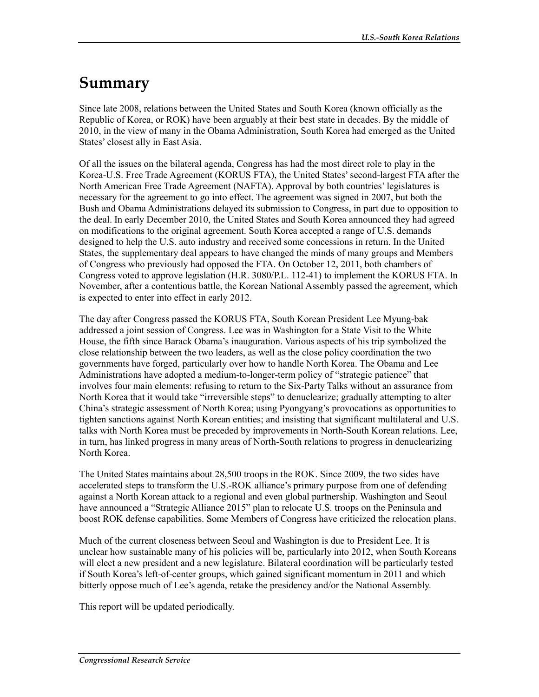# **Summary**

Since late 2008, relations between the United States and South Korea (known officially as the Republic of Korea, or ROK) have been arguably at their best state in decades. By the middle of 2010, in the view of many in the Obama Administration, South Korea had emerged as the United States' closest ally in East Asia.

Of all the issues on the bilateral agenda, Congress has had the most direct role to play in the Korea-U.S. Free Trade Agreement (KORUS FTA), the United States' second-largest FTA after the North American Free Trade Agreement (NAFTA). Approval by both countries' legislatures is necessary for the agreement to go into effect. The agreement was signed in 2007, but both the Bush and Obama Administrations delayed its submission to Congress, in part due to opposition to the deal. In early December 2010, the United States and South Korea announced they had agreed on modifications to the original agreement. South Korea accepted a range of U.S. demands designed to help the U.S. auto industry and received some concessions in return. In the United States, the supplementary deal appears to have changed the minds of many groups and Members of Congress who previously had opposed the FTA. On October 12, 2011, both chambers of Congress voted to approve legislation (H.R. 3080/P.L. 112-41) to implement the KORUS FTA. In November, after a contentious battle, the Korean National Assembly passed the agreement, which is expected to enter into effect in early 2012.

The day after Congress passed the KORUS FTA, South Korean President Lee Myung-bak addressed a joint session of Congress. Lee was in Washington for a State Visit to the White House, the fifth since Barack Obama's inauguration. Various aspects of his trip symbolized the close relationship between the two leaders, as well as the close policy coordination the two governments have forged, particularly over how to handle North Korea. The Obama and Lee Administrations have adopted a medium-to-longer-term policy of "strategic patience" that involves four main elements: refusing to return to the Six-Party Talks without an assurance from North Korea that it would take "irreversible steps" to denuclearize; gradually attempting to alter China's strategic assessment of North Korea; using Pyongyang's provocations as opportunities to tighten sanctions against North Korean entities; and insisting that significant multilateral and U.S. talks with North Korea must be preceded by improvements in North-South Korean relations. Lee, in turn, has linked progress in many areas of North-South relations to progress in denuclearizing North Korea.

The United States maintains about 28,500 troops in the ROK. Since 2009, the two sides have accelerated steps to transform the U.S.-ROK alliance's primary purpose from one of defending against a North Korean attack to a regional and even global partnership. Washington and Seoul have announced a "Strategic Alliance 2015" plan to relocate U.S. troops on the Peninsula and boost ROK defense capabilities. Some Members of Congress have criticized the relocation plans.

Much of the current closeness between Seoul and Washington is due to President Lee. It is unclear how sustainable many of his policies will be, particularly into 2012, when South Koreans will elect a new president and a new legislature. Bilateral coordination will be particularly tested if South Korea's left-of-center groups, which gained significant momentum in 2011 and which bitterly oppose much of Lee's agenda, retake the presidency and/or the National Assembly.

This report will be updated periodically.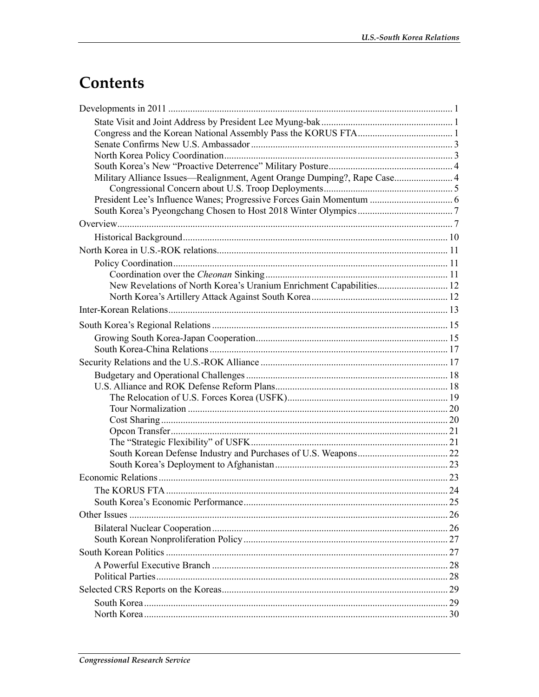# **Contents**

| Military Alliance Issues—Realignment, Agent Orange Dumping?, Rape Case 4 |  |
|--------------------------------------------------------------------------|--|
|                                                                          |  |
|                                                                          |  |
|                                                                          |  |
|                                                                          |  |
|                                                                          |  |
|                                                                          |  |
|                                                                          |  |
| New Revelations of North Korea's Uranium Enrichment Capabilities 12      |  |
|                                                                          |  |
|                                                                          |  |
|                                                                          |  |
|                                                                          |  |
|                                                                          |  |
|                                                                          |  |
|                                                                          |  |
|                                                                          |  |
|                                                                          |  |
|                                                                          |  |
|                                                                          |  |
|                                                                          |  |
|                                                                          |  |
|                                                                          |  |
|                                                                          |  |
|                                                                          |  |
|                                                                          |  |
|                                                                          |  |
|                                                                          |  |
|                                                                          |  |
|                                                                          |  |
|                                                                          |  |
|                                                                          |  |
|                                                                          |  |
|                                                                          |  |
|                                                                          |  |
|                                                                          |  |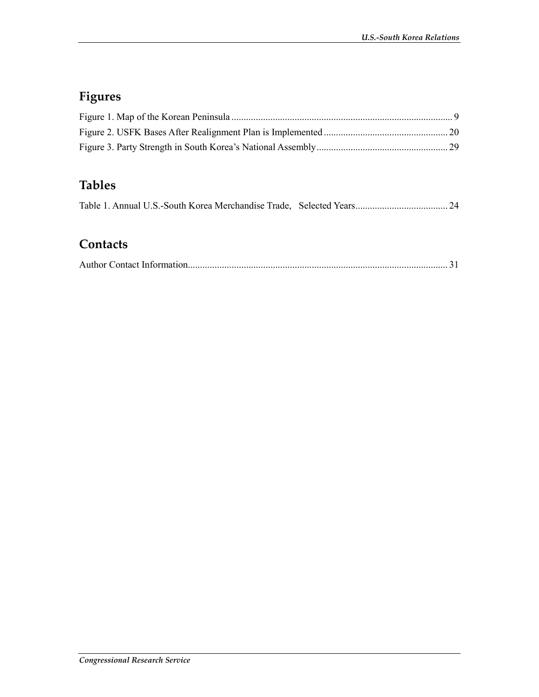## **Figures**

## **Tables**

### **Contacts**

|--|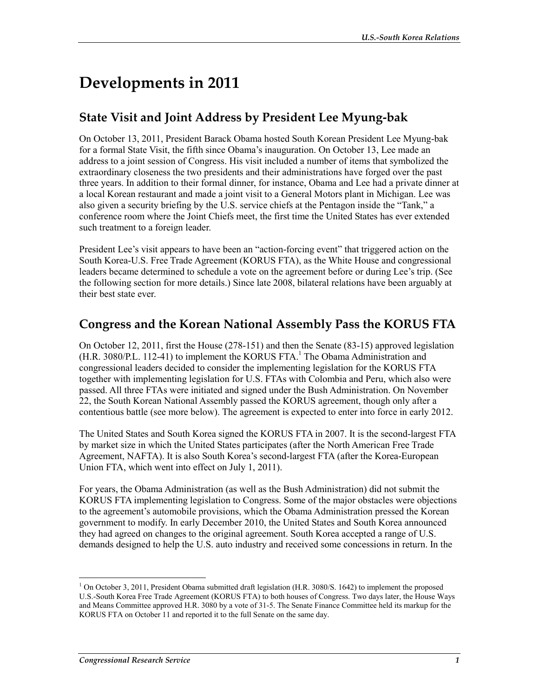# **Developments in 2011**

## **State Visit and Joint Address by President Lee Myung-bak**

On October 13, 2011, President Barack Obama hosted South Korean President Lee Myung-bak for a formal State Visit, the fifth since Obama's inauguration. On October 13, Lee made an address to a joint session of Congress. His visit included a number of items that symbolized the extraordinary closeness the two presidents and their administrations have forged over the past three years. In addition to their formal dinner, for instance, Obama and Lee had a private dinner at a local Korean restaurant and made a joint visit to a General Motors plant in Michigan. Lee was also given a security briefing by the U.S. service chiefs at the Pentagon inside the "Tank," a conference room where the Joint Chiefs meet, the first time the United States has ever extended such treatment to a foreign leader.

President Lee's visit appears to have been an "action-forcing event" that triggered action on the South Korea-U.S. Free Trade Agreement (KORUS FTA), as the White House and congressional leaders became determined to schedule a vote on the agreement before or during Lee's trip. (See the following section for more details.) Since late 2008, bilateral relations have been arguably at their best state ever.

### **Congress and the Korean National Assembly Pass the KORUS FTA**

On October 12, 2011, first the House (278-151) and then the Senate (83-15) approved legislation (H.R. 3080/P.L. 112-41) to implement the KORUS FTA.<sup>1</sup> The Obama Administration and congressional leaders decided to consider the implementing legislation for the KORUS FTA together with implementing legislation for U.S. FTAs with Colombia and Peru, which also were passed. All three FTAs were initiated and signed under the Bush Administration. On November 22, the South Korean National Assembly passed the KORUS agreement, though only after a contentious battle (see more below). The agreement is expected to enter into force in early 2012.

The United States and South Korea signed the KORUS FTA in 2007. It is the second-largest FTA by market size in which the United States participates (after the North American Free Trade Agreement, NAFTA). It is also South Korea's second-largest FTA (after the Korea-European Union FTA, which went into effect on July 1, 2011).

For years, the Obama Administration (as well as the Bush Administration) did not submit the KORUS FTA implementing legislation to Congress. Some of the major obstacles were objections to the agreement's automobile provisions, which the Obama Administration pressed the Korean government to modify. In early December 2010, the United States and South Korea announced they had agreed on changes to the original agreement. South Korea accepted a range of U.S. demands designed to help the U.S. auto industry and received some concessions in return. In the

<sup>1</sup> <sup>1</sup> On October 3, 2011, President Obama submitted draft legislation (H.R. 3080/S. 1642) to implement the proposed U.S.-South Korea Free Trade Agreement (KORUS FTA) to both houses of Congress. Two days later, the House Ways and Means Committee approved H.R. 3080 by a vote of 31-5. The Senate Finance Committee held its markup for the KORUS FTA on October 11 and reported it to the full Senate on the same day.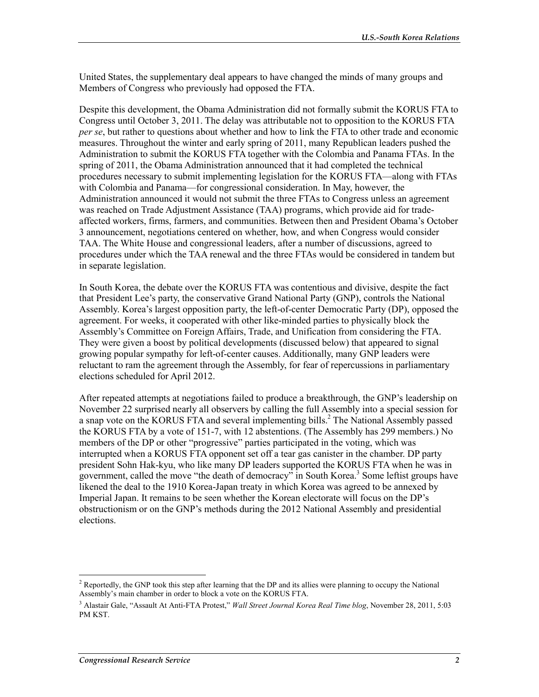United States, the supplementary deal appears to have changed the minds of many groups and Members of Congress who previously had opposed the FTA.

Despite this development, the Obama Administration did not formally submit the KORUS FTA to Congress until October 3, 2011. The delay was attributable not to opposition to the KORUS FTA *per se*, but rather to questions about whether and how to link the FTA to other trade and economic measures. Throughout the winter and early spring of 2011, many Republican leaders pushed the Administration to submit the KORUS FTA together with the Colombia and Panama FTAs. In the spring of 2011, the Obama Administration announced that it had completed the technical procedures necessary to submit implementing legislation for the KORUS FTA—along with FTAs with Colombia and Panama—for congressional consideration. In May, however, the Administration announced it would not submit the three FTAs to Congress unless an agreement was reached on Trade Adjustment Assistance (TAA) programs, which provide aid for tradeaffected workers, firms, farmers, and communities. Between then and President Obama's October 3 announcement, negotiations centered on whether, how, and when Congress would consider TAA. The White House and congressional leaders, after a number of discussions, agreed to procedures under which the TAA renewal and the three FTAs would be considered in tandem but in separate legislation.

In South Korea, the debate over the KORUS FTA was contentious and divisive, despite the fact that President Lee's party, the conservative Grand National Party (GNP), controls the National Assembly. Korea's largest opposition party, the left-of-center Democratic Party (DP), opposed the agreement. For weeks, it cooperated with other like-minded parties to physically block the Assembly's Committee on Foreign Affairs, Trade, and Unification from considering the FTA. They were given a boost by political developments (discussed below) that appeared to signal growing popular sympathy for left-of-center causes. Additionally, many GNP leaders were reluctant to ram the agreement through the Assembly, for fear of repercussions in parliamentary elections scheduled for April 2012.

After repeated attempts at negotiations failed to produce a breakthrough, the GNP's leadership on November 22 surprised nearly all observers by calling the full Assembly into a special session for a snap vote on the KORUS FTA and several implementing bills.<sup>2</sup> The National Assembly passed the KORUS FTA by a vote of 151-7, with 12 abstentions. (The Assembly has 299 members.) No members of the DP or other "progressive" parties participated in the voting, which was interrupted when a KORUS FTA opponent set off a tear gas canister in the chamber. DP party president Sohn Hak-kyu, who like many DP leaders supported the KORUS FTA when he was in government, called the move "the death of democracy" in South Korea.<sup>3</sup> Some leftist groups have likened the deal to the 1910 Korea-Japan treaty in which Korea was agreed to be annexed by Imperial Japan. It remains to be seen whether the Korean electorate will focus on the DP's obstructionism or on the GNP's methods during the 2012 National Assembly and presidential elections.

<sup>&</sup>lt;sup>2</sup> Reportedly, the GNP took this step after learning that the DP and its allies were planning to occupy the National Assembly's main chamber in order to block a vote on the KORUS FTA.

<sup>3</sup> Alastair Gale, "Assault At Anti-FTA Protest," *Wall Street Journal Korea Real Time blog*, November 28, 2011, 5:03 PM KST.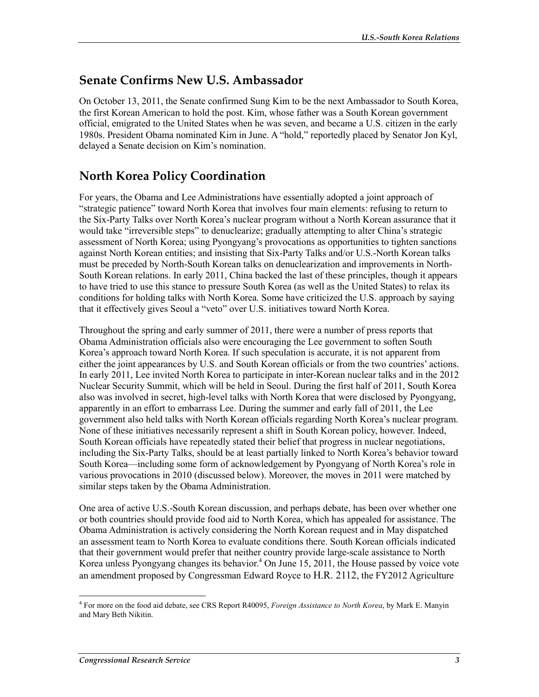### **Senate Confirms New U.S. Ambassador**

On October 13, 2011, the Senate confirmed Sung Kim to be the next Ambassador to South Korea, the first Korean American to hold the post. Kim, whose father was a South Korean government official, emigrated to the United States when he was seven, and became a U.S. citizen in the early 1980s. President Obama nominated Kim in June. A "hold," reportedly placed by Senator Jon Kyl, delayed a Senate decision on Kim's nomination.

## **North Korea Policy Coordination**

For years, the Obama and Lee Administrations have essentially adopted a joint approach of "strategic patience" toward North Korea that involves four main elements: refusing to return to the Six-Party Talks over North Korea's nuclear program without a North Korean assurance that it would take "irreversible steps" to denuclearize; gradually attempting to alter China's strategic assessment of North Korea; using Pyongyang's provocations as opportunities to tighten sanctions against North Korean entities; and insisting that Six-Party Talks and/or U.S.-North Korean talks must be preceded by North-South Korean talks on denuclearization and improvements in North-South Korean relations. In early 2011, China backed the last of these principles, though it appears to have tried to use this stance to pressure South Korea (as well as the United States) to relax its conditions for holding talks with North Korea. Some have criticized the U.S. approach by saying that it effectively gives Seoul a "veto" over U.S. initiatives toward North Korea.

Throughout the spring and early summer of 2011, there were a number of press reports that Obama Administration officials also were encouraging the Lee government to soften South Korea's approach toward North Korea. If such speculation is accurate, it is not apparent from either the joint appearances by U.S. and South Korean officials or from the two countries' actions. In early 2011, Lee invited North Korea to participate in inter-Korean nuclear talks and in the 2012 Nuclear Security Summit, which will be held in Seoul. During the first half of 2011, South Korea also was involved in secret, high-level talks with North Korea that were disclosed by Pyongyang, apparently in an effort to embarrass Lee. During the summer and early fall of 2011, the Lee government also held talks with North Korean officials regarding North Korea's nuclear program. None of these initiatives necessarily represent a shift in South Korean policy, however. Indeed, South Korean officials have repeatedly stated their belief that progress in nuclear negotiations, including the Six-Party Talks, should be at least partially linked to North Korea's behavior toward South Korea—including some form of acknowledgement by Pyongyang of North Korea's role in various provocations in 2010 (discussed below). Moreover, the moves in 2011 were matched by similar steps taken by the Obama Administration.

One area of active U.S.-South Korean discussion, and perhaps debate, has been over whether one or both countries should provide food aid to North Korea, which has appealed for assistance. The Obama Administration is actively considering the North Korean request and in May dispatched an assessment team to North Korea to evaluate conditions there. South Korean officials indicated that their government would prefer that neither country provide large-scale assistance to North Korea unless Pyongyang changes its behavior.<sup>4</sup> On June 15, 2011, the House passed by voice vote an amendment proposed by Congressman Edward Royce to H.R. 2112, the FY2012 Agriculture

<sup>1</sup> 4 For more on the food aid debate, see CRS Report R40095, *Foreign Assistance to North Korea*, by Mark E. Manyin and Mary Beth Nikitin.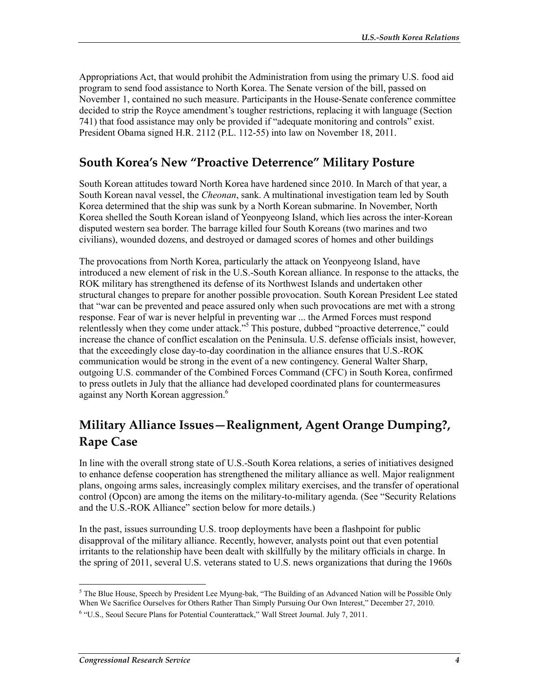Appropriations Act, that would prohibit the Administration from using the primary U.S. food aid program to send food assistance to North Korea. The Senate version of the bill, passed on November 1, contained no such measure. Participants in the House-Senate conference committee decided to strip the Royce amendment's tougher restrictions, replacing it with language (Section 741) that food assistance may only be provided if "adequate monitoring and controls" exist. President Obama signed H.R. 2112 (P.L. 112-55) into law on November 18, 2011.

### **South Korea's New "Proactive Deterrence" Military Posture**

South Korean attitudes toward North Korea have hardened since 2010. In March of that year, a South Korean naval vessel, the *Cheonan*, sank. A multinational investigation team led by South Korea determined that the ship was sunk by a North Korean submarine. In November, North Korea shelled the South Korean island of Yeonpyeong Island, which lies across the inter-Korean disputed western sea border. The barrage killed four South Koreans (two marines and two civilians), wounded dozens, and destroyed or damaged scores of homes and other buildings

The provocations from North Korea, particularly the attack on Yeonpyeong Island, have introduced a new element of risk in the U.S.-South Korean alliance. In response to the attacks, the ROK military has strengthened its defense of its Northwest Islands and undertaken other structural changes to prepare for another possible provocation. South Korean President Lee stated that "war can be prevented and peace assured only when such provocations are met with a strong response. Fear of war is never helpful in preventing war ... the Armed Forces must respond relentlessly when they come under attack."<sup>5</sup> This posture, dubbed "proactive deterrence," could increase the chance of conflict escalation on the Peninsula. U.S. defense officials insist, however, that the exceedingly close day-to-day coordination in the alliance ensures that U.S.-ROK communication would be strong in the event of a new contingency. General Walter Sharp, outgoing U.S. commander of the Combined Forces Command (CFC) in South Korea, confirmed to press outlets in July that the alliance had developed coordinated plans for countermeasures against any North Korean aggression.<sup>6</sup>

## **Military Alliance Issues—Realignment, Agent Orange Dumping?, Rape Case**

In line with the overall strong state of U.S.-South Korea relations, a series of initiatives designed to enhance defense cooperation has strengthened the military alliance as well. Major realignment plans, ongoing arms sales, increasingly complex military exercises, and the transfer of operational control (Opcon) are among the items on the military-to-military agenda. (See "Security Relations and the U.S.-ROK Alliance" section below for more details.)

In the past, issues surrounding U.S. troop deployments have been a flashpoint for public disapproval of the military alliance. Recently, however, analysts point out that even potential irritants to the relationship have been dealt with skillfully by the military officials in charge. In the spring of 2011, several U.S. veterans stated to U.S. news organizations that during the 1960s

<sup>1</sup> <sup>5</sup> The Blue House, Speech by President Lee Myung-bak, "The Building of an Advanced Nation will be Possible Only When We Sacrifice Ourselves for Others Rather Than Simply Pursuing Our Own Interest," December 27, 2010.

<sup>&</sup>lt;sup>6</sup> "U.S., Seoul Secure Plans for Potential Counterattack," Wall Street Journal. July 7, 2011.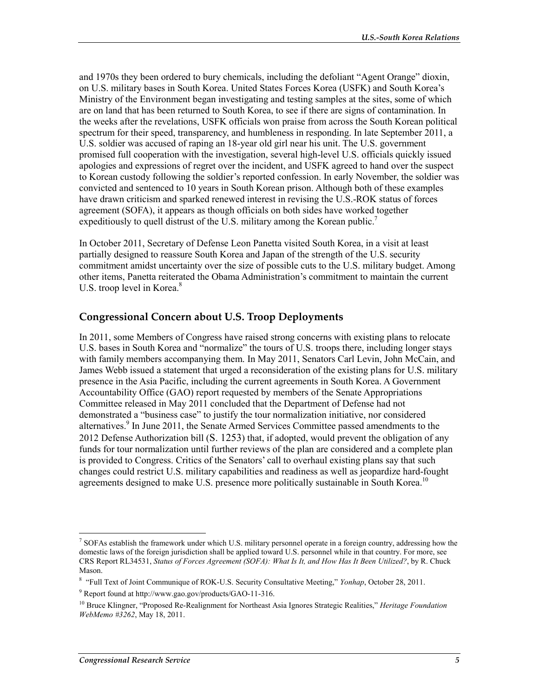and 1970s they been ordered to bury chemicals, including the defoliant "Agent Orange" dioxin, on U.S. military bases in South Korea. United States Forces Korea (USFK) and South Korea's Ministry of the Environment began investigating and testing samples at the sites, some of which are on land that has been returned to South Korea, to see if there are signs of contamination. In the weeks after the revelations, USFK officials won praise from across the South Korean political spectrum for their speed, transparency, and humbleness in responding. In late September 2011, a U.S. soldier was accused of raping an 18-year old girl near his unit. The U.S. government promised full cooperation with the investigation, several high-level U.S. officials quickly issued apologies and expressions of regret over the incident, and USFK agreed to hand over the suspect to Korean custody following the soldier's reported confession. In early November, the soldier was convicted and sentenced to 10 years in South Korean prison. Although both of these examples have drawn criticism and sparked renewed interest in revising the U.S.-ROK status of forces agreement (SOFA), it appears as though officials on both sides have worked together expeditiously to quell distrust of the U.S. military among the Korean public.<sup>7</sup>

In October 2011, Secretary of Defense Leon Panetta visited South Korea, in a visit at least partially designed to reassure South Korea and Japan of the strength of the U.S. security commitment amidst uncertainty over the size of possible cuts to the U.S. military budget. Among other items, Panetta reiterated the Obama Administration's commitment to maintain the current U.S. troop level in Korea.<sup>8</sup>

#### **Congressional Concern about U.S. Troop Deployments**

In 2011, some Members of Congress have raised strong concerns with existing plans to relocate U.S. bases in South Korea and "normalize" the tours of U.S. troops there, including longer stays with family members accompanying them. In May 2011, Senators Carl Levin, John McCain, and James Webb issued a statement that urged a reconsideration of the existing plans for U.S. military presence in the Asia Pacific, including the current agreements in South Korea. A Government Accountability Office (GAO) report requested by members of the Senate Appropriations Committee released in May 2011 concluded that the Department of Defense had not demonstrated a "business case" to justify the tour normalization initiative, nor considered alternatives.<sup>9</sup> In June 2011, the Senate Armed Services Committee passed amendments to the 2012 Defense Authorization bill (S. 1253) that, if adopted, would prevent the obligation of any funds for tour normalization until further reviews of the plan are considered and a complete plan is provided to Congress. Critics of the Senators' call to overhaul existing plans say that such changes could restrict U.S. military capabilities and readiness as well as jeopardize hard-fought agreements designed to make U.S. presence more politically sustainable in South Korea.<sup>10</sup>

TERT SOFAs establish the framework under which U.S. military personnel operate in a foreign country, addressing how the domestic laws of the foreign jurisdiction shall be applied toward U.S. personnel while in that country. For more, see CRS Report RL34531, *Status of Forces Agreement (SOFA): What Is It, and How Has It Been Utilized?*, by R. Chuck Mason.

<sup>8</sup> "Full Text of Joint Communique of ROK-U.S. Security Consultative Meeting," *Yonhap*, October 28, 2011.

<sup>9</sup> Report found at http://www.gao.gov/products/GAO-11-316.

<sup>10</sup> Bruce Klingner, "Proposed Re-Realignment for Northeast Asia Ignores Strategic Realities," *Heritage Foundation WebMemo #3262*, May 18, 2011.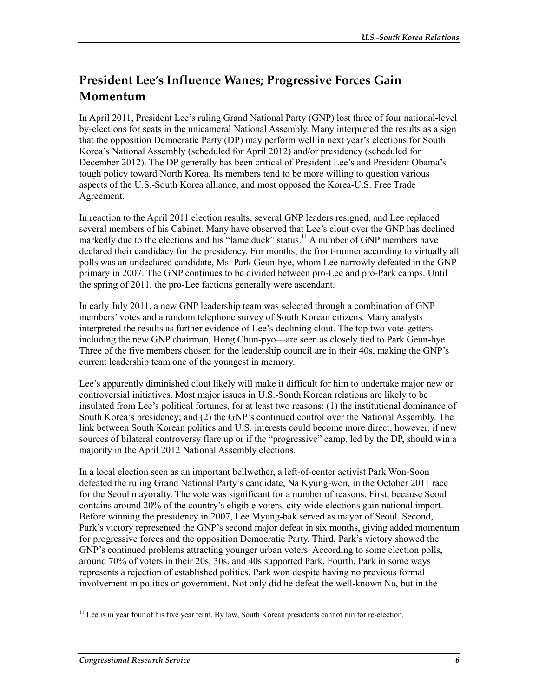## **President Lee's Influence Wanes; Progressive Forces Gain Momentum**

In April 2011, President Lee's ruling Grand National Party (GNP) lost three of four national-level by-elections for seats in the unicameral National Assembly. Many interpreted the results as a sign that the opposition Democratic Party (DP) may perform well in next year's elections for South Korea's National Assembly (scheduled for April 2012) and/or presidency (scheduled for December 2012). The DP generally has been critical of President Lee's and President Obama's tough policy toward North Korea. Its members tend to be more willing to question various aspects of the U.S.-South Korea alliance, and most opposed the Korea-U.S. Free Trade Agreement.

In reaction to the April 2011 election results, several GNP leaders resigned, and Lee replaced several members of his Cabinet. Many have observed that Lee's clout over the GNP has declined markedly due to the elections and his "lame duck" status.<sup>11</sup> A number of GNP members have declared their candidacy for the presidency. For months, the front-runner according to virtually all polls was an undeclared candidate, Ms. Park Geun-hye, whom Lee narrowly defeated in the GNP primary in 2007. The GNP continues to be divided between pro-Lee and pro-Park camps. Until the spring of 2011, the pro-Lee factions generally were ascendant.

In early July 2011, a new GNP leadership team was selected through a combination of GNP members' votes and a random telephone survey of South Korean citizens. Many analysts interpreted the results as further evidence of Lee's declining clout. The top two vote-getters including the new GNP chairman, Hong Chun-pyo—are seen as closely tied to Park Geun-hye. Three of the five members chosen for the leadership council are in their 40s, making the GNP's current leadership team one of the youngest in memory.

Lee's apparently diminished clout likely will make it difficult for him to undertake major new or controversial initiatives. Most major issues in U.S.-South Korean relations are likely to be insulated from Lee's political fortunes, for at least two reasons: (1) the institutional dominance of South Korea's presidency; and (2) the GNP's continued control over the National Assembly. The link between South Korean politics and U.S. interests could become more direct, however, if new sources of bilateral controversy flare up or if the "progressive" camp, led by the DP, should win a majority in the April 2012 National Assembly elections.

In a local election seen as an important bellwether, a left-of-center activist Park Won-Soon defeated the ruling Grand National Party's candidate, Na Kyung-won, in the October 2011 race for the Seoul mayoralty. The vote was significant for a number of reasons. First, because Seoul contains around 20% of the country's eligible voters, city-wide elections gain national import. Before winning the presidency in 2007, Lee Myung-bak served as mayor of Seoul. Second, Park's victory represented the GNP's second major defeat in six months, giving added momentum for progressive forces and the opposition Democratic Party. Third, Park's victory showed the GNP's continued problems attracting younger urban voters. According to some election polls, around 70% of voters in their 20s, 30s, and 40s supported Park. Fourth, Park in some ways represents a rejection of established politics. Park won despite having no previous formal involvement in politics or government. Not only did he defeat the well-known Na, but in the

<sup>&</sup>lt;u>.</u> <sup>11</sup> Lee is in year four of his five year term. By law, South Korean presidents cannot run for re-election.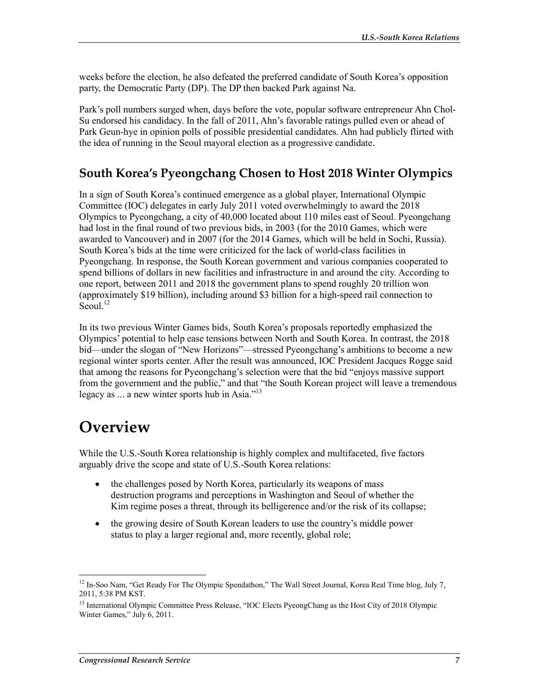weeks before the election, he also defeated the preferred candidate of South Korea's opposition party, the Democratic Party (DP). The DP then backed Park against Na.

Park's poll numbers surged when, days before the vote, popular software entrepreneur Ahn Chol-Su endorsed his candidacy. In the fall of 2011, Ahn's favorable ratings pulled even or ahead of Park Geun-hye in opinion polls of possible presidential candidates. Ahn had publicly flirted with the idea of running in the Seoul mayoral election as a progressive candidate.

### **South Korea's Pyeongchang Chosen to Host 2018 Winter Olympics**

In a sign of South Korea's continued emergence as a global player, International Olympic Committee (IOC) delegates in early July 2011 voted overwhelmingly to award the 2018 Olympics to Pyeongchang, a city of 40,000 located about 110 miles east of Seoul. Pyeongchang had lost in the final round of two previous bids, in 2003 (for the 2010 Games, which were awarded to Vancouver) and in 2007 (for the 2014 Games, which will be held in Sochi, Russia). South Korea's bids at the time were criticized for the lack of world-class facilities in Pyeongchang. In response, the South Korean government and various companies cooperated to spend billions of dollars in new facilities and infrastructure in and around the city. According to one report, between 2011 and 2018 the government plans to spend roughly 20 trillion won (approximately \$19 billion), including around \$3 billion for a high-speed rail connection to  $\mathrm{Seoul.}^{12}$ 

In its two previous Winter Games bids, South Korea's proposals reportedly emphasized the Olympics' potential to help ease tensions between North and South Korea. In contrast, the 2018 bid—under the slogan of "New Horizons"—stressed Pyeongchang's ambitions to become a new regional winter sports center. After the result was announced, IOC President Jacques Rogge said that among the reasons for Pyeongchang's selection were that the bid "enjoys massive support from the government and the public," and that "the South Korean project will leave a tremendous legacy as  $\dots$  a new winter sports hub in Asia."<sup>13</sup>

## **Overview**

While the U.S.-South Korea relationship is highly complex and multifaceted, five factors arguably drive the scope and state of U.S.-South Korea relations:

- the challenges posed by North Korea, particularly its weapons of mass destruction programs and perceptions in Washington and Seoul of whether the Kim regime poses a threat, through its belligerence and/or the risk of its collapse;
- the growing desire of South Korean leaders to use the country's middle power status to play a larger regional and, more recently, global role;

<sup>1</sup>  $12$  In-Soo Nam, "Get Ready For The Olympic Spendathon," The Wall Street Journal, Korea Real Time blog, July 7, 2011, 5:38 PM KST.

<sup>&</sup>lt;sup>13</sup> International Olympic Committee Press Release, "IOC Elects PyeongChang as the Host City of 2018 Olympic Winter Games," July 6, 2011.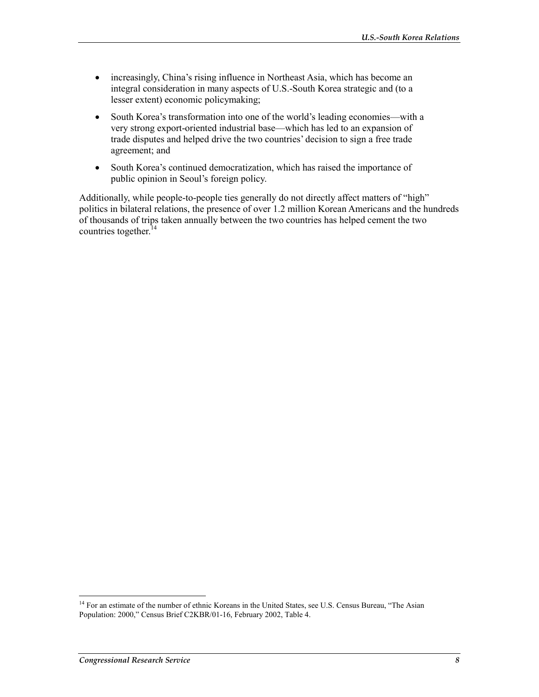- increasingly, China's rising influence in Northeast Asia, which has become an integral consideration in many aspects of U.S.-South Korea strategic and (to a lesser extent) economic policymaking;
- South Korea's transformation into one of the world's leading economies—with a very strong export-oriented industrial base—which has led to an expansion of trade disputes and helped drive the two countries' decision to sign a free trade agreement; and
- South Korea's continued democratization, which has raised the importance of public opinion in Seoul's foreign policy.

Additionally, while people-to-people ties generally do not directly affect matters of "high" politics in bilateral relations, the presence of over 1.2 million Korean Americans and the hundreds of thousands of trips taken annually between the two countries has helped cement the two countries together.<sup>14</sup>

<sup>&</sup>lt;sup>14</sup> For an estimate of the number of ethnic Koreans in the United States, see U.S. Census Bureau, "The Asian Population: 2000," Census Brief C2KBR/01-16, February 2002, Table 4.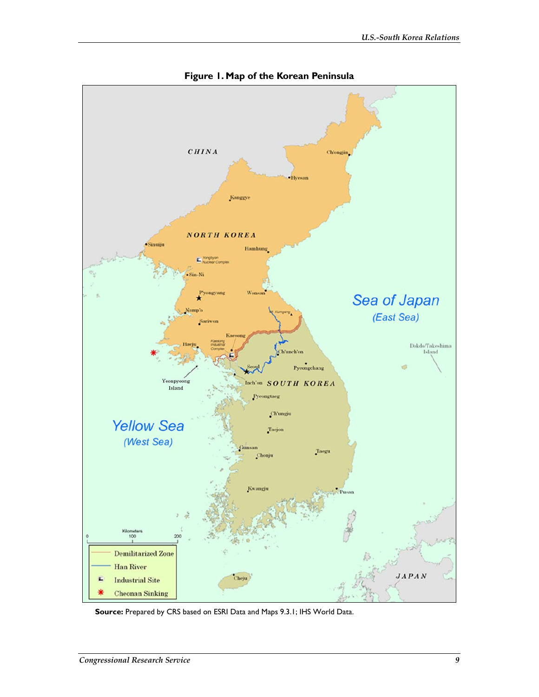

**Figure 1. Map of the Korean Peninsula** 

**Source:** Prepared by CRS based on ESRI Data and Maps 9.3.1; IHS World Data.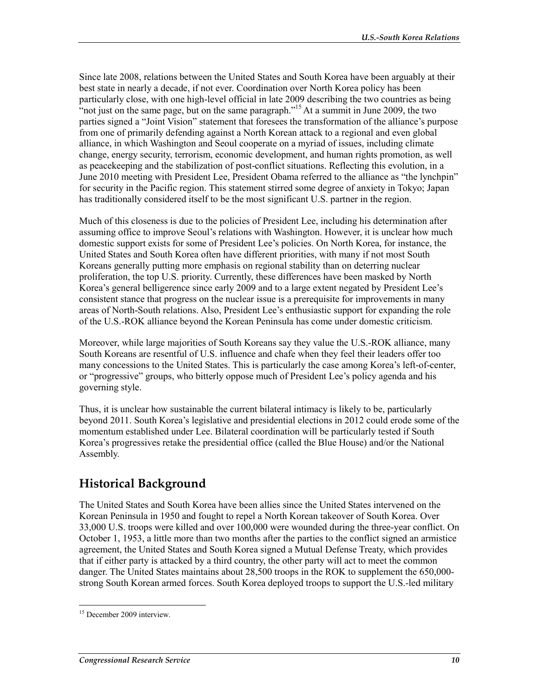Since late 2008, relations between the United States and South Korea have been arguably at their best state in nearly a decade, if not ever. Coordination over North Korea policy has been particularly close, with one high-level official in late 2009 describing the two countries as being "not just on the same page, but on the same paragraph."<sup>15</sup> At a summit in June 2009, the two parties signed a "Joint Vision" statement that foresees the transformation of the alliance's purpose from one of primarily defending against a North Korean attack to a regional and even global alliance, in which Washington and Seoul cooperate on a myriad of issues, including climate change, energy security, terrorism, economic development, and human rights promotion, as well as peacekeeping and the stabilization of post-conflict situations. Reflecting this evolution, in a June 2010 meeting with President Lee, President Obama referred to the alliance as "the lynchpin" for security in the Pacific region. This statement stirred some degree of anxiety in Tokyo; Japan has traditionally considered itself to be the most significant U.S. partner in the region.

Much of this closeness is due to the policies of President Lee, including his determination after assuming office to improve Seoul's relations with Washington. However, it is unclear how much domestic support exists for some of President Lee's policies. On North Korea, for instance, the United States and South Korea often have different priorities, with many if not most South Koreans generally putting more emphasis on regional stability than on deterring nuclear proliferation, the top U.S. priority. Currently, these differences have been masked by North Korea's general belligerence since early 2009 and to a large extent negated by President Lee's consistent stance that progress on the nuclear issue is a prerequisite for improvements in many areas of North-South relations. Also, President Lee's enthusiastic support for expanding the role of the U.S.-ROK alliance beyond the Korean Peninsula has come under domestic criticism.

Moreover, while large majorities of South Koreans say they value the U.S.-ROK alliance, many South Koreans are resentful of U.S. influence and chafe when they feel their leaders offer too many concessions to the United States. This is particularly the case among Korea's left-of-center, or "progressive" groups, who bitterly oppose much of President Lee's policy agenda and his governing style.

Thus, it is unclear how sustainable the current bilateral intimacy is likely to be, particularly beyond 2011. South Korea's legislative and presidential elections in 2012 could erode some of the momentum established under Lee. Bilateral coordination will be particularly tested if South Korea's progressives retake the presidential office (called the Blue House) and/or the National Assembly.

## **Historical Background**

The United States and South Korea have been allies since the United States intervened on the Korean Peninsula in 1950 and fought to repel a North Korean takeover of South Korea. Over 33,000 U.S. troops were killed and over 100,000 were wounded during the three-year conflict. On October 1, 1953, a little more than two months after the parties to the conflict signed an armistice agreement, the United States and South Korea signed a Mutual Defense Treaty, which provides that if either party is attacked by a third country, the other party will act to meet the common danger. The United States maintains about 28,500 troops in the ROK to supplement the 650,000 strong South Korean armed forces. South Korea deployed troops to support the U.S.-led military

<sup>&</sup>lt;u>.</u> <sup>15</sup> December 2009 interview.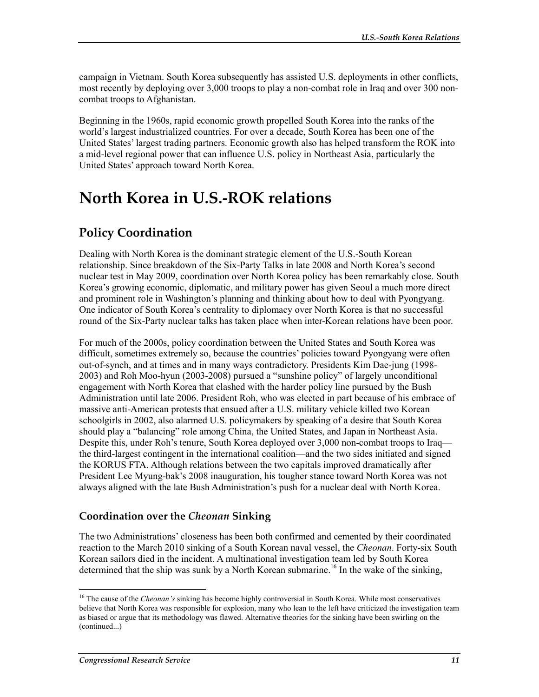campaign in Vietnam. South Korea subsequently has assisted U.S. deployments in other conflicts, most recently by deploying over 3,000 troops to play a non-combat role in Iraq and over 300 noncombat troops to Afghanistan.

Beginning in the 1960s, rapid economic growth propelled South Korea into the ranks of the world's largest industrialized countries. For over a decade, South Korea has been one of the United States' largest trading partners. Economic growth also has helped transform the ROK into a mid-level regional power that can influence U.S. policy in Northeast Asia, particularly the United States' approach toward North Korea.

## **North Korea in U.S.-ROK relations**

## **Policy Coordination**

Dealing with North Korea is the dominant strategic element of the U.S.-South Korean relationship. Since breakdown of the Six-Party Talks in late 2008 and North Korea's second nuclear test in May 2009, coordination over North Korea policy has been remarkably close. South Korea's growing economic, diplomatic, and military power has given Seoul a much more direct and prominent role in Washington's planning and thinking about how to deal with Pyongyang. One indicator of South Korea's centrality to diplomacy over North Korea is that no successful round of the Six-Party nuclear talks has taken place when inter-Korean relations have been poor.

For much of the 2000s, policy coordination between the United States and South Korea was difficult, sometimes extremely so, because the countries' policies toward Pyongyang were often out-of-synch, and at times and in many ways contradictory. Presidents Kim Dae-jung (1998- 2003) and Roh Moo-hyun (2003-2008) pursued a "sunshine policy" of largely unconditional engagement with North Korea that clashed with the harder policy line pursued by the Bush Administration until late 2006. President Roh, who was elected in part because of his embrace of massive anti-American protests that ensued after a U.S. military vehicle killed two Korean schoolgirls in 2002, also alarmed U.S. policymakers by speaking of a desire that South Korea should play a "balancing" role among China, the United States, and Japan in Northeast Asia. Despite this, under Roh's tenure, South Korea deployed over 3,000 non-combat troops to Iraq the third-largest contingent in the international coalition—and the two sides initiated and signed the KORUS FTA. Although relations between the two capitals improved dramatically after President Lee Myung-bak's 2008 inauguration, his tougher stance toward North Korea was not always aligned with the late Bush Administration's push for a nuclear deal with North Korea.

### **Coordination over the** *Cheonan* **Sinking**

The two Administrations' closeness has been both confirmed and cemented by their coordinated reaction to the March 2010 sinking of a South Korean naval vessel, the *Cheonan*. Forty-six South Korean sailors died in the incident. A multinational investigation team led by South Korea determined that the ship was sunk by a North Korean submarine.<sup>16</sup> In the wake of the sinking,

<sup>16</sup> The cause of the *Cheonan's* sinking has become highly controversial in South Korea. While most conservatives believe that North Korea was responsible for explosion, many who lean to the left have criticized the investigation team as biased or argue that its methodology was flawed. Alternative theories for the sinking have been swirling on the (continued...)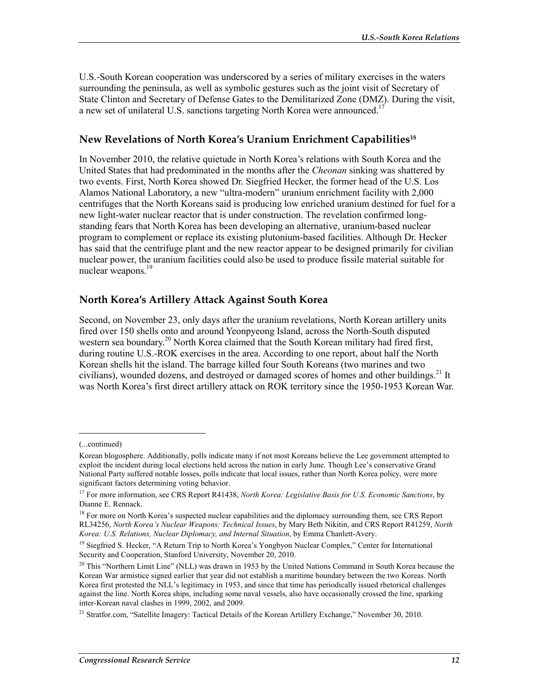U.S.-South Korean cooperation was underscored by a series of military exercises in the waters surrounding the peninsula, as well as symbolic gestures such as the joint visit of Secretary of State Clinton and Secretary of Defense Gates to the Demilitarized Zone (DMZ). During the visit, a new set of unilateral U.S. sanctions targeting North Korea were announced.<sup>17</sup>

#### **New Revelations of North Korea's Uranium Enrichment Capabilities18**

In November 2010, the relative quietude in North Korea's relations with South Korea and the United States that had predominated in the months after the *Cheonan* sinking was shattered by two events. First, North Korea showed Dr. Siegfried Hecker, the former head of the U.S. Los Alamos National Laboratory, a new "ultra-modern" uranium enrichment facility with 2,000 centrifuges that the North Koreans said is producing low enriched uranium destined for fuel for a new light-water nuclear reactor that is under construction. The revelation confirmed longstanding fears that North Korea has been developing an alternative, uranium-based nuclear program to complement or replace its existing plutonium-based facilities. Although Dr. Hecker has said that the centrifuge plant and the new reactor appear to be designed primarily for civilian nuclear power, the uranium facilities could also be used to produce fissile material suitable for nuclear weapons.<sup>19</sup>

#### **North Korea's Artillery Attack Against South Korea**

Second, on November 23, only days after the uranium revelations, North Korean artillery units fired over 150 shells onto and around Yeonpyeong Island, across the North-South disputed western sea boundary.<sup>20</sup> North Korea claimed that the South Korean military had fired first, during routine U.S.-ROK exercises in the area. According to one report, about half the North Korean shells hit the island. The barrage killed four South Koreans (two marines and two civilians), wounded dozens, and destroyed or damaged scores of homes and other buildings.<sup>21</sup> It was North Korea's first direct artillery attack on ROK territory since the 1950-1953 Korean War.

<sup>(...</sup>continued)

Korean blogosphere. Additionally, polls indicate many if not most Koreans believe the Lee government attempted to exploit the incident during local elections held across the nation in early June. Though Lee's conservative Grand National Party suffered notable losses, polls indicate that local issues, rather than North Korea policy, were more significant factors determining voting behavior.

<sup>&</sup>lt;sup>17</sup> For more information, see CRS Report R41438, *North Korea: Legislative Basis for U.S. Economic Sanctions*, by Dianne E. Rennack.

<sup>&</sup>lt;sup>18</sup> For more on North Korea's suspected nuclear capabilities and the diplomacy surrounding them, see CRS Report RL34256, *North Korea's Nuclear Weapons: Technical Issues*, by Mary Beth Nikitin, and CRS Report R41259, *North Korea: U.S. Relations, Nuclear Diplomacy, and Internal Situation*, by Emma Chanlett-Avery.

<sup>&</sup>lt;sup>19</sup> Siegfried S. Hecker, "A Return Trip to North Korea's Yongbyon Nuclear Complex," Center for International Security and Cooperation, Stanford University, November 20, 2010.

<sup>&</sup>lt;sup>20</sup> This "Northern Limit Line" (NLL) was drawn in 1953 by the United Nations Command in South Korea because the Korean War armistice signed earlier that year did not establish a maritime boundary between the two Koreas. North Korea first protested the NLL's legitimacy in 1953, and since that time has periodically issued rhetorical challenges against the line. North Korea ships, including some naval vessels, also have occasionally crossed the line, sparking inter-Korean naval clashes in 1999, 2002, and 2009.

<sup>&</sup>lt;sup>21</sup> Stratfor.com, "Satellite Imagery: Tactical Details of the Korean Artillery Exchange," November 30, 2010.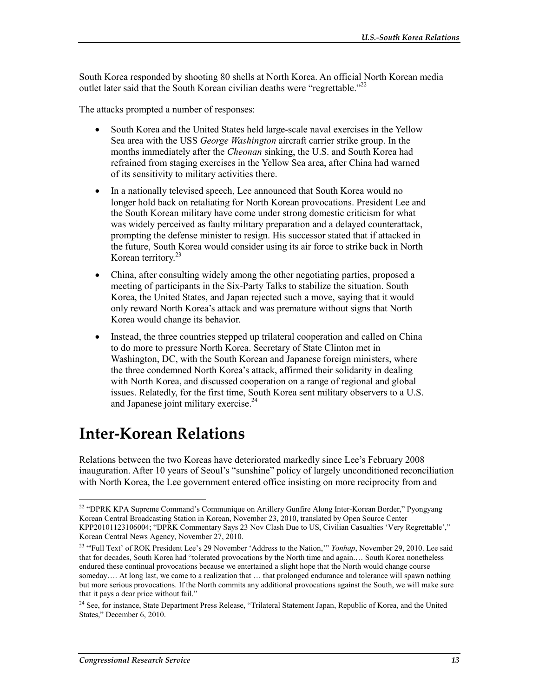South Korea responded by shooting 80 shells at North Korea. An official North Korean media outlet later said that the South Korean civilian deaths were "regrettable."<sup>22</sup>

The attacks prompted a number of responses:

- South Korea and the United States held large-scale naval exercises in the Yellow Sea area with the USS *George Washington* aircraft carrier strike group. In the months immediately after the *Cheonan* sinking, the U.S. and South Korea had refrained from staging exercises in the Yellow Sea area, after China had warned of its sensitivity to military activities there.
- In a nationally televised speech, Lee announced that South Korea would no longer hold back on retaliating for North Korean provocations. President Lee and the South Korean military have come under strong domestic criticism for what was widely perceived as faulty military preparation and a delayed counterattack, prompting the defense minister to resign. His successor stated that if attacked in the future, South Korea would consider using its air force to strike back in North Korean territory. $23$
- China, after consulting widely among the other negotiating parties, proposed a meeting of participants in the Six-Party Talks to stabilize the situation. South Korea, the United States, and Japan rejected such a move, saying that it would only reward North Korea's attack and was premature without signs that North Korea would change its behavior.
- Instead, the three countries stepped up trilateral cooperation and called on China to do more to pressure North Korea. Secretary of State Clinton met in Washington, DC, with the South Korean and Japanese foreign ministers, where the three condemned North Korea's attack, affirmed their solidarity in dealing with North Korea, and discussed cooperation on a range of regional and global issues. Relatedly, for the first time, South Korea sent military observers to a U.S. and Japanese joint military exercise.<sup>24</sup>

## **Inter-Korean Relations**

Relations between the two Koreas have deteriorated markedly since Lee's February 2008 inauguration. After 10 years of Seoul's "sunshine" policy of largely unconditioned reconciliation with North Korea, the Lee government entered office insisting on more reciprocity from and

<sup>&</sup>lt;sup>22</sup> "DPRK KPA Supreme Command's Communique on Artillery Gunfire Along Inter-Korean Border," Pyongyang Korean Central Broadcasting Station in Korean, November 23, 2010, translated by Open Source Center KPP20101123106004; "DPRK Commentary Says 23 Nov Clash Due to US, Civilian Casualties 'Very Regrettable'," Korean Central News Agency, November 27, 2010.

<sup>&</sup>lt;sup>23</sup> "Full Text' of ROK President Lee's 29 November 'Address to the Nation," *Yonhap*, November 29, 2010. Lee said that for decades, South Korea had "tolerated provocations by the North time and again.… South Korea nonetheless endured these continual provocations because we entertained a slight hope that the North would change course someday.... At long last, we came to a realization that ... that prolonged endurance and tolerance will spawn nothing but more serious provocations. If the North commits any additional provocations against the South, we will make sure that it pays a dear price without fail."

<sup>&</sup>lt;sup>24</sup> See, for instance, State Department Press Release, "Trilateral Statement Japan, Republic of Korea, and the United States," December 6, 2010.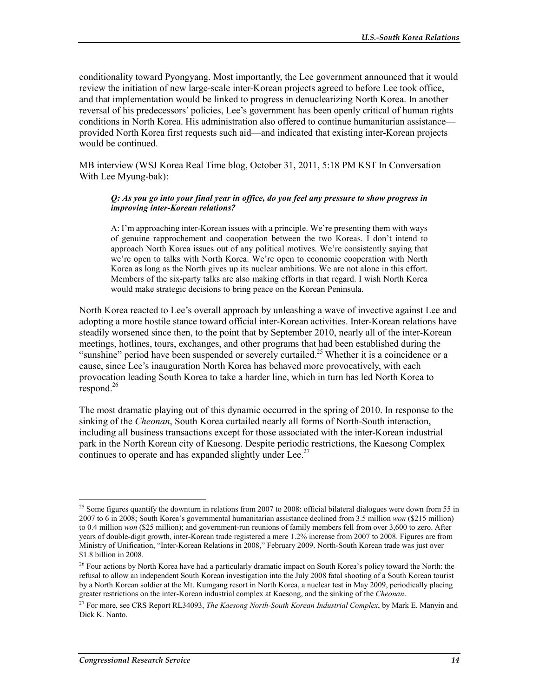conditionality toward Pyongyang. Most importantly, the Lee government announced that it would review the initiation of new large-scale inter-Korean projects agreed to before Lee took office, and that implementation would be linked to progress in denuclearizing North Korea. In another reversal of his predecessors' policies, Lee's government has been openly critical of human rights conditions in North Korea. His administration also offered to continue humanitarian assistance provided North Korea first requests such aid—and indicated that existing inter-Korean projects would be continued.

MB interview (WSJ Korea Real Time blog, October 31, 2011, 5:18 PM KST In Conversation With Lee Myung-bak):

#### *Q: As you go into your final year in office, do you feel any pressure to show progress in improving inter-Korean relations?*

A: I'm approaching inter-Korean issues with a principle. We're presenting them with ways of genuine rapprochement and cooperation between the two Koreas. I don't intend to approach North Korea issues out of any political motives. We're consistently saying that we're open to talks with North Korea. We're open to economic cooperation with North Korea as long as the North gives up its nuclear ambitions. We are not alone in this effort. Members of the six-party talks are also making efforts in that regard. I wish North Korea would make strategic decisions to bring peace on the Korean Peninsula.

North Korea reacted to Lee's overall approach by unleashing a wave of invective against Lee and adopting a more hostile stance toward official inter-Korean activities. Inter-Korean relations have steadily worsened since then, to the point that by September 2010, nearly all of the inter-Korean meetings, hotlines, tours, exchanges, and other programs that had been established during the "sunshine" period have been suspended or severely curtailed.<sup>25</sup> Whether it is a coincidence or a cause, since Lee's inauguration North Korea has behaved more provocatively, with each provocation leading South Korea to take a harder line, which in turn has led North Korea to  $respond.<sup>26</sup>$ 

The most dramatic playing out of this dynamic occurred in the spring of 2010. In response to the sinking of the *Cheonan*, South Korea curtailed nearly all forms of North-South interaction, including all business transactions except for those associated with the inter-Korean industrial park in the North Korean city of Kaesong. Despite periodic restrictions, the Kaesong Complex continues to operate and has expanded slightly under Lee.<sup>27</sup>

<sup>&</sup>lt;sup>25</sup> Some figures quantify the downturn in relations from 2007 to 2008: official bilateral dialogues were down from 55 in 2007 to 6 in 2008; South Korea's governmental humanitarian assistance declined from 3.5 million *won* (\$215 million) to 0.4 million *won* (\$25 million); and government-run reunions of family members fell from over 3,600 to zero. After years of double-digit growth, inter-Korean trade registered a mere 1.2% increase from 2007 to 2008. Figures are from Ministry of Unification, "Inter-Korean Relations in 2008," February 2009. North-South Korean trade was just over \$1.8 billion in 2008.

<sup>&</sup>lt;sup>26</sup> Four actions by North Korea have had a particularly dramatic impact on South Korea's policy toward the North: the refusal to allow an independent South Korean investigation into the July 2008 fatal shooting of a South Korean tourist by a North Korean soldier at the Mt. Kumgang resort in North Korea, a nuclear test in May 2009, periodically placing greater restrictions on the inter-Korean industrial complex at Kaesong, and the sinking of the *Cheonan*.

<sup>27</sup> For more, see CRS Report RL34093, *The Kaesong North-South Korean Industrial Complex*, by Mark E. Manyin and Dick K. Nanto.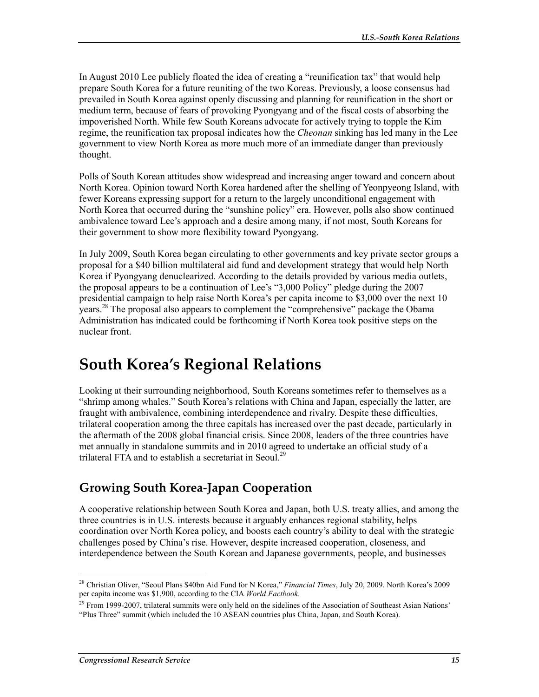In August 2010 Lee publicly floated the idea of creating a "reunification tax" that would help prepare South Korea for a future reuniting of the two Koreas. Previously, a loose consensus had prevailed in South Korea against openly discussing and planning for reunification in the short or medium term, because of fears of provoking Pyongyang and of the fiscal costs of absorbing the impoverished North. While few South Koreans advocate for actively trying to topple the Kim regime, the reunification tax proposal indicates how the *Cheonan* sinking has led many in the Lee government to view North Korea as more much more of an immediate danger than previously thought.

Polls of South Korean attitudes show widespread and increasing anger toward and concern about North Korea. Opinion toward North Korea hardened after the shelling of Yeonpyeong Island, with fewer Koreans expressing support for a return to the largely unconditional engagement with North Korea that occurred during the "sunshine policy" era. However, polls also show continued ambivalence toward Lee's approach and a desire among many, if not most, South Koreans for their government to show more flexibility toward Pyongyang.

In July 2009, South Korea began circulating to other governments and key private sector groups a proposal for a \$40 billion multilateral aid fund and development strategy that would help North Korea if Pyongyang denuclearized. According to the details provided by various media outlets, the proposal appears to be a continuation of Lee's "3,000 Policy" pledge during the 2007 presidential campaign to help raise North Korea's per capita income to \$3,000 over the next 10 years.28 The proposal also appears to complement the "comprehensive" package the Obama Administration has indicated could be forthcoming if North Korea took positive steps on the nuclear front.

## **South Korea's Regional Relations**

Looking at their surrounding neighborhood, South Koreans sometimes refer to themselves as a "shrimp among whales." South Korea's relations with China and Japan, especially the latter, are fraught with ambivalence, combining interdependence and rivalry. Despite these difficulties, trilateral cooperation among the three capitals has increased over the past decade, particularly in the aftermath of the 2008 global financial crisis. Since 2008, leaders of the three countries have met annually in standalone summits and in 2010 agreed to undertake an official study of a trilateral FTA and to establish a secretariat in Seoul.<sup>29</sup>

## **Growing South Korea-Japan Cooperation**

A cooperative relationship between South Korea and Japan, both U.S. treaty allies, and among the three countries is in U.S. interests because it arguably enhances regional stability, helps coordination over North Korea policy, and boosts each country's ability to deal with the strategic challenges posed by China's rise. However, despite increased cooperation, closeness, and interdependence between the South Korean and Japanese governments, people, and businesses

<sup>1</sup> 28 Christian Oliver, "Seoul Plans \$40bn Aid Fund for N Korea," *Financial Times*, July 20, 2009. North Korea's 2009 per capita income was \$1,900, according to the CIA *World Factbook*.

 $29$  From 1999-2007, trilateral summits were only held on the sidelines of the Association of Southeast Asian Nations' "Plus Three" summit (which included the 10 ASEAN countries plus China, Japan, and South Korea).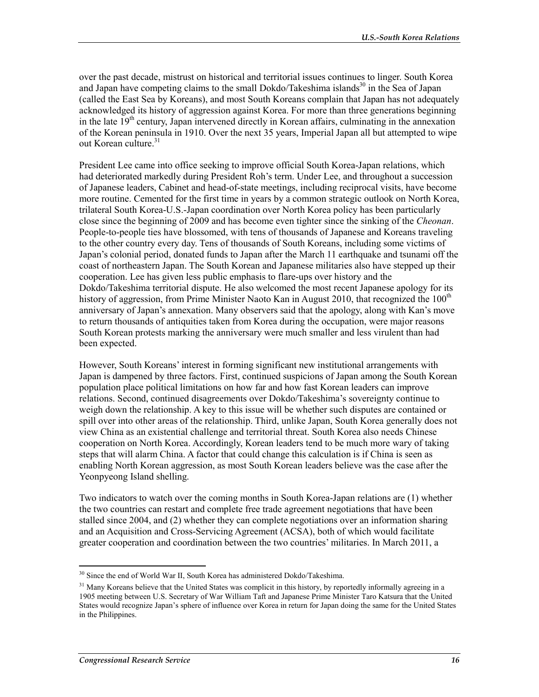over the past decade, mistrust on historical and territorial issues continues to linger. South Korea and Japan have competing claims to the small Dokdo/Takeshima islands<sup>30</sup> in the Sea of Japan (called the East Sea by Koreans), and most South Koreans complain that Japan has not adequately acknowledged its history of aggression against Korea. For more than three generations beginning in the late 19<sup>th</sup> century, Japan intervened directly in Korean affairs, culminating in the annexation of the Korean peninsula in 1910. Over the next 35 years, Imperial Japan all but attempted to wipe out Korean culture. $31$ 

President Lee came into office seeking to improve official South Korea-Japan relations, which had deteriorated markedly during President Roh's term. Under Lee, and throughout a succession of Japanese leaders, Cabinet and head-of-state meetings, including reciprocal visits, have become more routine. Cemented for the first time in years by a common strategic outlook on North Korea, trilateral South Korea-U.S.-Japan coordination over North Korea policy has been particularly close since the beginning of 2009 and has become even tighter since the sinking of the *Cheonan*. People-to-people ties have blossomed, with tens of thousands of Japanese and Koreans traveling to the other country every day. Tens of thousands of South Koreans, including some victims of Japan's colonial period, donated funds to Japan after the March 11 earthquake and tsunami off the coast of northeastern Japan. The South Korean and Japanese militaries also have stepped up their cooperation. Lee has given less public emphasis to flare-ups over history and the Dokdo/Takeshima territorial dispute. He also welcomed the most recent Japanese apology for its history of aggression, from Prime Minister Naoto Kan in August 2010, that recognized the  $100<sup>th</sup>$ anniversary of Japan's annexation. Many observers said that the apology, along with Kan's move to return thousands of antiquities taken from Korea during the occupation, were major reasons South Korean protests marking the anniversary were much smaller and less virulent than had been expected.

However, South Koreans' interest in forming significant new institutional arrangements with Japan is dampened by three factors. First, continued suspicions of Japan among the South Korean population place political limitations on how far and how fast Korean leaders can improve relations. Second, continued disagreements over Dokdo/Takeshima's sovereignty continue to weigh down the relationship. A key to this issue will be whether such disputes are contained or spill over into other areas of the relationship. Third, unlike Japan, South Korea generally does not view China as an existential challenge and territorial threat. South Korea also needs Chinese cooperation on North Korea. Accordingly, Korean leaders tend to be much more wary of taking steps that will alarm China. A factor that could change this calculation is if China is seen as enabling North Korean aggression, as most South Korean leaders believe was the case after the Yeonpyeong Island shelling.

Two indicators to watch over the coming months in South Korea-Japan relations are (1) whether the two countries can restart and complete free trade agreement negotiations that have been stalled since 2004, and (2) whether they can complete negotiations over an information sharing and an Acquisition and Cross-Servicing Agreement (ACSA), both of which would facilitate greater cooperation and coordination between the two countries' militaries. In March 2011, a

<sup>1</sup> <sup>30</sup> Since the end of World War II, South Korea has administered Dokdo/Takeshima.

<sup>&</sup>lt;sup>31</sup> Many Koreans believe that the United States was complicit in this history, by reportedly informally agreeing in a 1905 meeting between U.S. Secretary of War William Taft and Japanese Prime Minister Taro Katsura that the United States would recognize Japan's sphere of influence over Korea in return for Japan doing the same for the United States in the Philippines.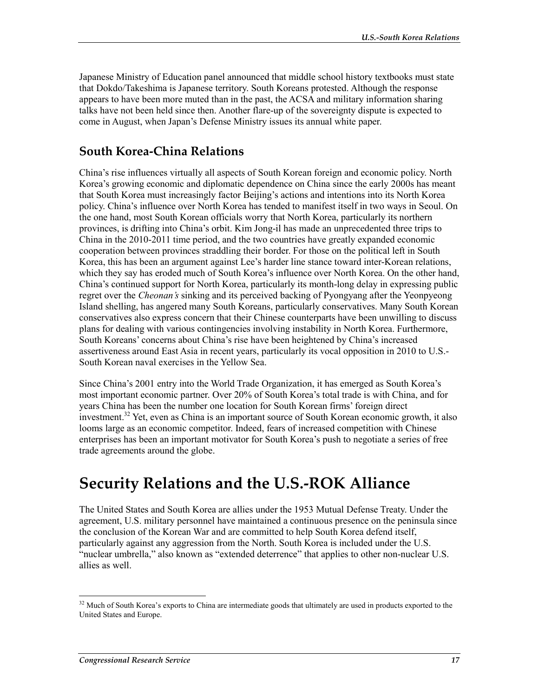Japanese Ministry of Education panel announced that middle school history textbooks must state that Dokdo/Takeshima is Japanese territory. South Koreans protested. Although the response appears to have been more muted than in the past, the ACSA and military information sharing talks have not been held since then. Another flare-up of the sovereignty dispute is expected to come in August, when Japan's Defense Ministry issues its annual white paper.

### **South Korea-China Relations**

China's rise influences virtually all aspects of South Korean foreign and economic policy. North Korea's growing economic and diplomatic dependence on China since the early 2000s has meant that South Korea must increasingly factor Beijing's actions and intentions into its North Korea policy. China's influence over North Korea has tended to manifest itself in two ways in Seoul. On the one hand, most South Korean officials worry that North Korea, particularly its northern provinces, is drifting into China's orbit. Kim Jong-il has made an unprecedented three trips to China in the 2010-2011 time period, and the two countries have greatly expanded economic cooperation between provinces straddling their border. For those on the political left in South Korea, this has been an argument against Lee's harder line stance toward inter-Korean relations, which they say has eroded much of South Korea's influence over North Korea. On the other hand, China's continued support for North Korea, particularly its month-long delay in expressing public regret over the *Cheonan's* sinking and its perceived backing of Pyongyang after the Yeonpyeong Island shelling, has angered many South Koreans, particularly conservatives. Many South Korean conservatives also express concern that their Chinese counterparts have been unwilling to discuss plans for dealing with various contingencies involving instability in North Korea. Furthermore, South Koreans' concerns about China's rise have been heightened by China's increased assertiveness around East Asia in recent years, particularly its vocal opposition in 2010 to U.S.- South Korean naval exercises in the Yellow Sea.

Since China's 2001 entry into the World Trade Organization, it has emerged as South Korea's most important economic partner. Over 20% of South Korea's total trade is with China, and for years China has been the number one location for South Korean firms' foreign direct investment.<sup>32</sup> Yet, even as China is an important source of South Korean economic growth, it also looms large as an economic competitor. Indeed, fears of increased competition with Chinese enterprises has been an important motivator for South Korea's push to negotiate a series of free trade agreements around the globe.

## **Security Relations and the U.S.-ROK Alliance**

The United States and South Korea are allies under the 1953 Mutual Defense Treaty. Under the agreement, U.S. military personnel have maintained a continuous presence on the peninsula since the conclusion of the Korean War and are committed to help South Korea defend itself, particularly against any aggression from the North. South Korea is included under the U.S. "nuclear umbrella," also known as "extended deterrence" that applies to other non-nuclear U.S. allies as well.

 $32$  Much of South Korea's exports to China are intermediate goods that ultimately are used in products exported to the United States and Europe.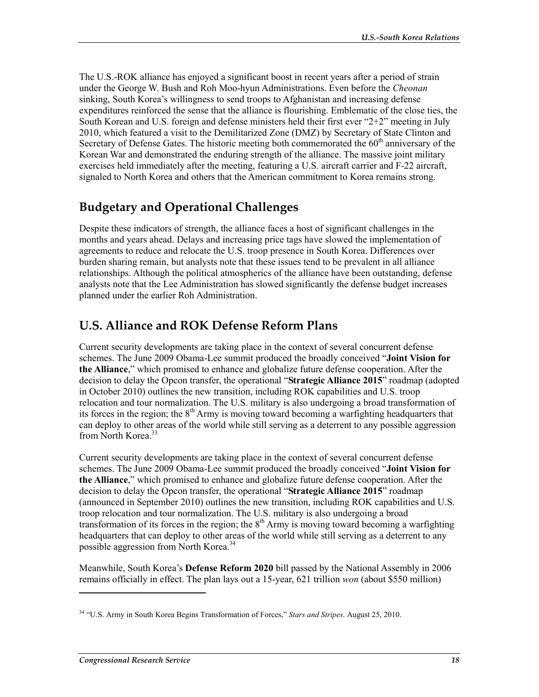The U.S.-ROK alliance has enjoyed a significant boost in recent years after a period of strain under the George W. Bush and Roh Moo-hyun Administrations. Even before the *Cheonan* sinking, South Korea's willingness to send troops to Afghanistan and increasing defense expenditures reinforced the sense that the alliance is flourishing. Emblematic of the close ties, the South Korean and U.S. foreign and defense ministers held their first ever "2+2" meeting in July 2010, which featured a visit to the Demilitarized Zone (DMZ) by Secretary of State Clinton and Secretary of Defense Gates. The historic meeting both commemorated the  $60<sup>th</sup>$  anniversary of the Korean War and demonstrated the enduring strength of the alliance. The massive joint military exercises held immediately after the meeting, featuring a U.S. aircraft carrier and F-22 aircraft, signaled to North Korea and others that the American commitment to Korea remains strong.

## **Budgetary and Operational Challenges**

Despite these indicators of strength, the alliance faces a host of significant challenges in the months and years ahead. Delays and increasing price tags have slowed the implementation of agreements to reduce and relocate the U.S. troop presence in South Korea. Differences over burden sharing remain, but analysts note that these issues tend to be prevalent in all alliance relationships. Although the political atmospherics of the alliance have been outstanding, defense analysts note that the Lee Administration has slowed significantly the defense budget increases planned under the earlier Roh Administration.

## **U.S. Alliance and ROK Defense Reform Plans**

Current security developments are taking place in the context of several concurrent defense schemes. The June 2009 Obama-Lee summit produced the broadly conceived "**Joint Vision for the Alliance**," which promised to enhance and globalize future defense cooperation. After the decision to delay the Opcon transfer, the operational "**Strategic Alliance 2015**" roadmap (adopted in October 2010) outlines the new transition, including ROK capabilities and U.S. troop relocation and tour normalization. The U.S. military is also undergoing a broad transformation of its forces in the region; the  $8<sup>th</sup>$  Army is moving toward becoming a warfighting headquarters that can deploy to other areas of the world while still serving as a deterrent to any possible aggression from North Korea.<sup>33</sup>

Current security developments are taking place in the context of several concurrent defense schemes. The June 2009 Obama-Lee summit produced the broadly conceived "**Joint Vision for the Alliance**," which promised to enhance and globalize future defense cooperation. After the decision to delay the Opcon transfer, the operational "**Strategic Alliance 2015**" roadmap (announced in September 2010) outlines the new transition, including ROK capabilities and U.S. troop relocation and tour normalization. The U.S. military is also undergoing a broad transformation of its forces in the region; the  $8<sup>th</sup>$  Army is moving toward becoming a warfighting headquarters that can deploy to other areas of the world while still serving as a deterrent to any possible aggression from North Korea.<sup>34</sup>

Meanwhile, South Korea's **Defense Reform 2020** bill passed by the National Assembly in 2006 remains officially in effect. The plan lays out a 15-year, 621 trillion *won* (about \$550 million)

<sup>34 &</sup>quot;U.S. Army in South Korea Begins Transformation of Forces," *Stars and Stripes*. August 25, 2010.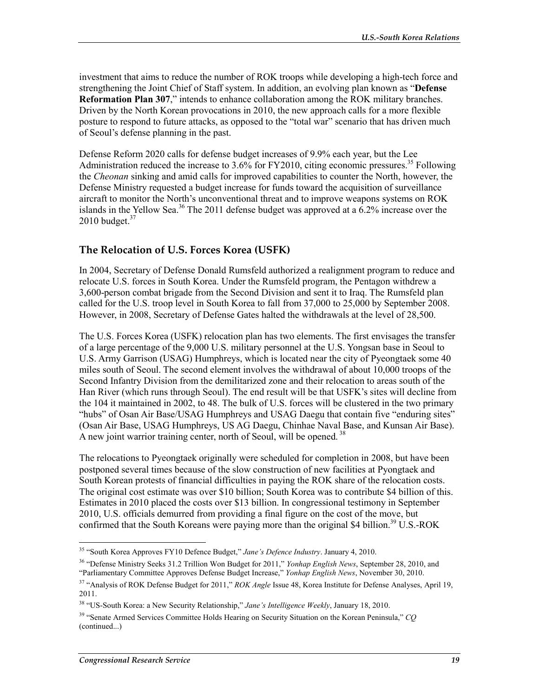investment that aims to reduce the number of ROK troops while developing a high-tech force and strengthening the Joint Chief of Staff system. In addition, an evolving plan known as "**Defense Reformation Plan 307**," intends to enhance collaboration among the ROK military branches. Driven by the North Korean provocations in 2010, the new approach calls for a more flexible posture to respond to future attacks, as opposed to the "total war" scenario that has driven much of Seoul's defense planning in the past.

Defense Reform 2020 calls for defense budget increases of 9.9% each year, but the Lee Administration reduced the increase to 3.6% for FY2010, citing economic pressures.<sup>35</sup> Following the *Cheonan* sinking and amid calls for improved capabilities to counter the North, however, the Defense Ministry requested a budget increase for funds toward the acquisition of surveillance aircraft to monitor the North's unconventional threat and to improve weapons systems on ROK islands in the Yellow Sea.<sup>36</sup> The 2011 defense budget was approved at a  $6.2\%$  increase over the 2010 budget. $37$ 

#### **The Relocation of U.S. Forces Korea (USFK)**

In 2004, Secretary of Defense Donald Rumsfeld authorized a realignment program to reduce and relocate U.S. forces in South Korea. Under the Rumsfeld program, the Pentagon withdrew a 3,600-person combat brigade from the Second Division and sent it to Iraq. The Rumsfeld plan called for the U.S. troop level in South Korea to fall from 37,000 to 25,000 by September 2008. However, in 2008, Secretary of Defense Gates halted the withdrawals at the level of 28,500.

The U.S. Forces Korea (USFK) relocation plan has two elements. The first envisages the transfer of a large percentage of the 9,000 U.S. military personnel at the U.S. Yongsan base in Seoul to U.S. Army Garrison (USAG) Humphreys, which is located near the city of Pyeongtaek some 40 miles south of Seoul. The second element involves the withdrawal of about 10,000 troops of the Second Infantry Division from the demilitarized zone and their relocation to areas south of the Han River (which runs through Seoul). The end result will be that USFK's sites will decline from the 104 it maintained in 2002, to 48. The bulk of U.S. forces will be clustered in the two primary "hubs" of Osan Air Base/USAG Humphreys and USAG Daegu that contain five "enduring sites" (Osan Air Base, USAG Humphreys, US AG Daegu, Chinhae Naval Base, and Kunsan Air Base). A new joint warrior training center, north of Seoul, will be opened.<sup>38</sup>

The relocations to Pyeongtaek originally were scheduled for completion in 2008, but have been postponed several times because of the slow construction of new facilities at Pyongtaek and South Korean protests of financial difficulties in paying the ROK share of the relocation costs. The original cost estimate was over \$10 billion; South Korea was to contribute \$4 billion of this. Estimates in 2010 placed the costs over \$13 billion. In congressional testimony in September 2010, U.S. officials demurred from providing a final figure on the cost of the move, but confirmed that the South Koreans were paying more than the original \$4 billion.<sup>39</sup> U.S.-ROK

<sup>35 &</sup>quot;South Korea Approves FY10 Defence Budget," *Jane's Defence Industry*. January 4, 2010.

<sup>36 &</sup>quot;Defense Ministry Seeks 31.2 Trillion Won Budget for 2011," *Yonhap English News*, September 28, 2010, and "Parliamentary Committee Approves Defense Budget Increase," *Yonhap English News*, November 30, 2010.

<sup>37 &</sup>quot;Analysis of ROK Defense Budget for 2011," *ROK Angle* Issue 48, Korea Institute for Defense Analyses, April 19, 2011.

<sup>38 &</sup>quot;US-South Korea: a New Security Relationship," *Jane's Intelligence Weekly*, January 18, 2010.

<sup>39 &</sup>quot;Senate Armed Services Committee Holds Hearing on Security Situation on the Korean Peninsula," *CQ*  (continued...)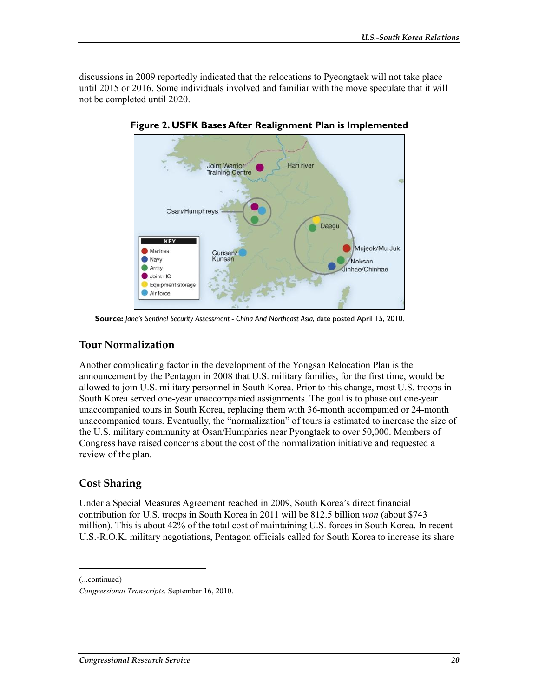discussions in 2009 reportedly indicated that the relocations to Pyeongtaek will not take place until 2015 or 2016. Some individuals involved and familiar with the move speculate that it will not be completed until 2020.



**Figure 2. USFK Bases After Realignment Plan is Implemented** 

**Source:** *Jane's Sentinel Security Assessment - China And Northeast Asia*, date posted April 15, 2010.

#### **Tour Normalization**

Another complicating factor in the development of the Yongsan Relocation Plan is the announcement by the Pentagon in 2008 that U.S. military families, for the first time, would be allowed to join U.S. military personnel in South Korea. Prior to this change, most U.S. troops in South Korea served one-year unaccompanied assignments. The goal is to phase out one-year unaccompanied tours in South Korea, replacing them with 36-month accompanied or 24-month unaccompanied tours. Eventually, the "normalization" of tours is estimated to increase the size of the U.S. military community at Osan/Humphries near Pyongtaek to over 50,000. Members of Congress have raised concerns about the cost of the normalization initiative and requested a review of the plan.

### **Cost Sharing**

Under a Special Measures Agreement reached in 2009, South Korea's direct financial contribution for U.S. troops in South Korea in 2011 will be 812.5 billion *won* (about \$743 million). This is about 42% of the total cost of maintaining U.S. forces in South Korea. In recent U.S.-R.O.K. military negotiations, Pentagon officials called for South Korea to increase its share

(...continued)

*Congressional Transcripts*. September 16, 2010.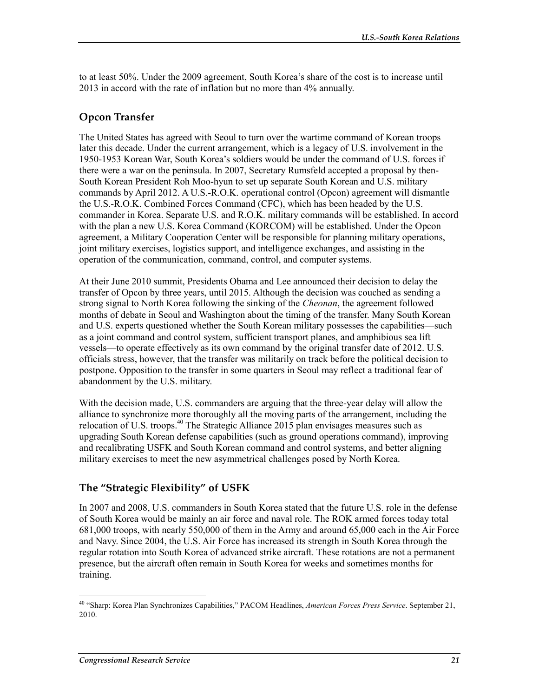to at least 50%. Under the 2009 agreement, South Korea's share of the cost is to increase until 2013 in accord with the rate of inflation but no more than 4% annually.

### **Opcon Transfer**

The United States has agreed with Seoul to turn over the wartime command of Korean troops later this decade. Under the current arrangement, which is a legacy of U.S. involvement in the 1950-1953 Korean War, South Korea's soldiers would be under the command of U.S. forces if there were a war on the peninsula. In 2007, Secretary Rumsfeld accepted a proposal by then-South Korean President Roh Moo-hyun to set up separate South Korean and U.S. military commands by April 2012. A U.S.-R.O.K. operational control (Opcon) agreement will dismantle the U.S.-R.O.K. Combined Forces Command (CFC), which has been headed by the U.S. commander in Korea. Separate U.S. and R.O.K. military commands will be established. In accord with the plan a new U.S. Korea Command (KORCOM) will be established. Under the Opcon agreement, a Military Cooperation Center will be responsible for planning military operations, joint military exercises, logistics support, and intelligence exchanges, and assisting in the operation of the communication, command, control, and computer systems.

At their June 2010 summit, Presidents Obama and Lee announced their decision to delay the transfer of Opcon by three years, until 2015. Although the decision was couched as sending a strong signal to North Korea following the sinking of the *Cheonan*, the agreement followed months of debate in Seoul and Washington about the timing of the transfer. Many South Korean and U.S. experts questioned whether the South Korean military possesses the capabilities—such as a joint command and control system, sufficient transport planes, and amphibious sea lift vessels—to operate effectively as its own command by the original transfer date of 2012. U.S. officials stress, however, that the transfer was militarily on track before the political decision to postpone. Opposition to the transfer in some quarters in Seoul may reflect a traditional fear of abandonment by the U.S. military.

With the decision made, U.S. commanders are arguing that the three-year delay will allow the alliance to synchronize more thoroughly all the moving parts of the arrangement, including the relocation of U.S. troops.<sup>40</sup> The Strategic Alliance 2015 plan envisages measures such as upgrading South Korean defense capabilities (such as ground operations command), improving and recalibrating USFK and South Korean command and control systems, and better aligning military exercises to meet the new asymmetrical challenges posed by North Korea.

#### **The "Strategic Flexibility" of USFK**

In 2007 and 2008, U.S. commanders in South Korea stated that the future U.S. role in the defense of South Korea would be mainly an air force and naval role. The ROK armed forces today total 681,000 troops, with nearly 550,000 of them in the Army and around 65,000 each in the Air Force and Navy. Since 2004, the U.S. Air Force has increased its strength in South Korea through the regular rotation into South Korea of advanced strike aircraft. These rotations are not a permanent presence, but the aircraft often remain in South Korea for weeks and sometimes months for training.

<sup>40 &</sup>quot;Sharp: Korea Plan Synchronizes Capabilities," PACOM Headlines, *American Forces Press Service*. September 21, 2010.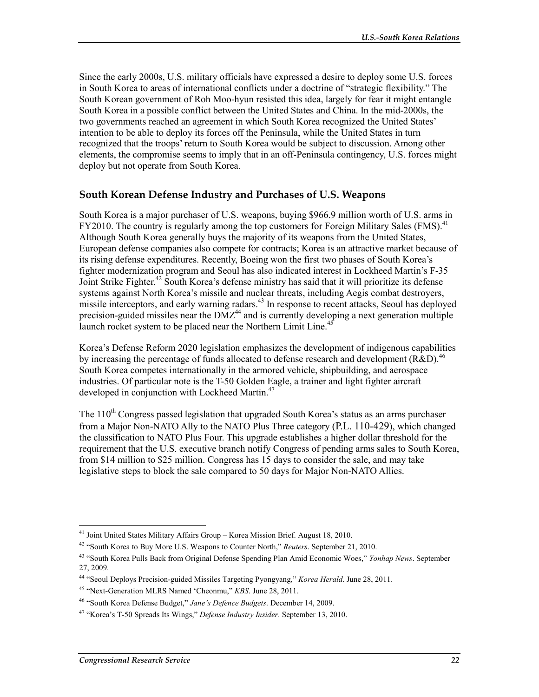Since the early 2000s, U.S. military officials have expressed a desire to deploy some U.S. forces in South Korea to areas of international conflicts under a doctrine of "strategic flexibility." The South Korean government of Roh Moo-hyun resisted this idea, largely for fear it might entangle South Korea in a possible conflict between the United States and China. In the mid-2000s, the two governments reached an agreement in which South Korea recognized the United States' intention to be able to deploy its forces off the Peninsula, while the United States in turn recognized that the troops' return to South Korea would be subject to discussion. Among other elements, the compromise seems to imply that in an off-Peninsula contingency, U.S. forces might deploy but not operate from South Korea.

#### **South Korean Defense Industry and Purchases of U.S. Weapons**

South Korea is a major purchaser of U.S. weapons, buying \$966.9 million worth of U.S. arms in FY2010. The country is regularly among the top customers for Foreign Military Sales (FMS).<sup>41</sup> Although South Korea generally buys the majority of its weapons from the United States, European defense companies also compete for contracts; Korea is an attractive market because of its rising defense expenditures. Recently, Boeing won the first two phases of South Korea's fighter modernization program and Seoul has also indicated interest in Lockheed Martin's F-35 Joint Strike Fighter.<sup>42</sup> South Korea's defense ministry has said that it will prioritize its defense systems against North Korea's missile and nuclear threats, including Aegis combat destroyers, missile interceptors, and early warning radars.<sup>43</sup> In response to recent attacks, Seoul has deployed precision-guided missiles near the  $DMZ<sup>44</sup>$  and is currently developing a next generation multiple launch rocket system to be placed near the Northern Limit Line.<sup>45</sup>

Korea's Defense Reform 2020 legislation emphasizes the development of indigenous capabilities by increasing the percentage of funds allocated to defense research and development (R&D).<sup>46</sup> South Korea competes internationally in the armored vehicle, shipbuilding, and aerospace industries. Of particular note is the T-50 Golden Eagle, a trainer and light fighter aircraft developed in conjunction with Lockheed Martin.<sup>47</sup>

The 110<sup>th</sup> Congress passed legislation that upgraded South Korea's status as an arms purchaser from a Major Non-NATO Ally to the NATO Plus Three category (P.L. 110-429), which changed the classification to NATO Plus Four. This upgrade establishes a higher dollar threshold for the requirement that the U.S. executive branch notify Congress of pending arms sales to South Korea, from \$14 million to \$25 million. Congress has 15 days to consider the sale, and may take legislative steps to block the sale compared to 50 days for Major Non-NATO Allies.

<sup>1</sup> <sup>41</sup> Joint United States Military Affairs Group - Korea Mission Brief. August 18, 2010.

<sup>42 &</sup>quot;South Korea to Buy More U.S. Weapons to Counter North," *Reuters*. September 21, 2010.

<sup>43 &</sup>quot;South Korea Pulls Back from Original Defense Spending Plan Amid Economic Woes," *Yonhap News*. September 27, 2009.

<sup>44 &</sup>quot;Seoul Deploys Precision-guided Missiles Targeting Pyongyang," *Korea Herald*. June 28, 2011.

<sup>45 &</sup>quot;Next-Generation MLRS Named 'Cheonmu," *KBS*. June 28, 2011.

<sup>46 &</sup>quot;South Korea Defense Budget," *Jane's Defence Budgets*. December 14, 2009.

<sup>47 &</sup>quot;Korea's T-50 Spreads Its Wings," *Defense Industry Insider*. September 13, 2010.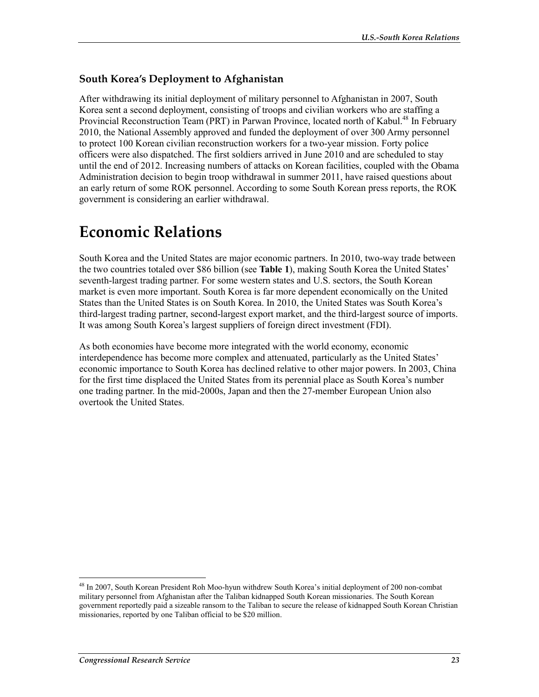### **South Korea's Deployment to Afghanistan**

After withdrawing its initial deployment of military personnel to Afghanistan in 2007, South Korea sent a second deployment, consisting of troops and civilian workers who are staffing a Provincial Reconstruction Team (PRT) in Parwan Province, located north of Kabul.<sup>48</sup> In February 2010, the National Assembly approved and funded the deployment of over 300 Army personnel to protect 100 Korean civilian reconstruction workers for a two-year mission. Forty police officers were also dispatched. The first soldiers arrived in June 2010 and are scheduled to stay until the end of 2012. Increasing numbers of attacks on Korean facilities, coupled with the Obama Administration decision to begin troop withdrawal in summer 2011, have raised questions about an early return of some ROK personnel. According to some South Korean press reports, the ROK government is considering an earlier withdrawal.

## **Economic Relations**

South Korea and the United States are major economic partners. In 2010, two-way trade between the two countries totaled over \$86 billion (see **Table 1**), making South Korea the United States' seventh-largest trading partner. For some western states and U.S. sectors, the South Korean market is even more important. South Korea is far more dependent economically on the United States than the United States is on South Korea. In 2010, the United States was South Korea's third-largest trading partner, second-largest export market, and the third-largest source of imports. It was among South Korea's largest suppliers of foreign direct investment (FDI).

As both economies have become more integrated with the world economy, economic interdependence has become more complex and attenuated, particularly as the United States' economic importance to South Korea has declined relative to other major powers. In 2003, China for the first time displaced the United States from its perennial place as South Korea's number one trading partner. In the mid-2000s, Japan and then the 27-member European Union also overtook the United States.

<sup>48</sup> In 2007, South Korean President Roh Moo-hyun withdrew South Korea's initial deployment of 200 non-combat military personnel from Afghanistan after the Taliban kidnapped South Korean missionaries. The South Korean government reportedly paid a sizeable ransom to the Taliban to secure the release of kidnapped South Korean Christian missionaries, reported by one Taliban official to be \$20 million.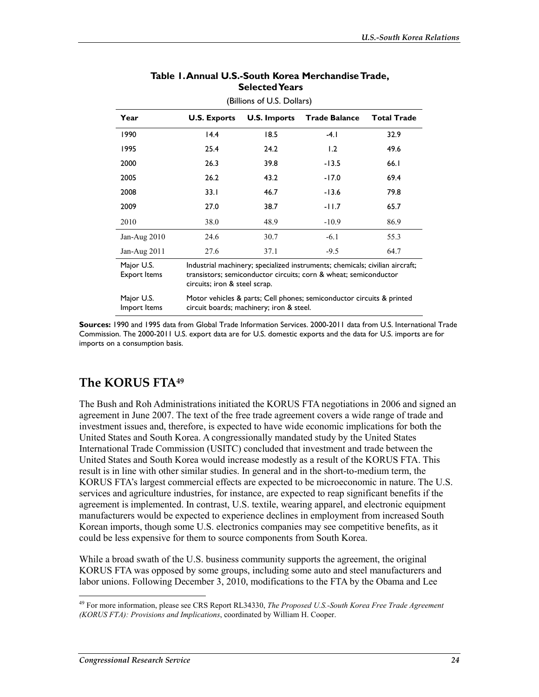| (Billions of U.S. Dollars)        |                                                                                                                                                                                   |                     |                      |                    |  |  |  |
|-----------------------------------|-----------------------------------------------------------------------------------------------------------------------------------------------------------------------------------|---------------------|----------------------|--------------------|--|--|--|
| Year                              | <b>U.S. Exports</b>                                                                                                                                                               | <b>U.S. Imports</b> | <b>Trade Balance</b> | <b>Total Trade</b> |  |  |  |
| 1990                              | 14.4                                                                                                                                                                              | 18.5                | $-4.1$               | 32.9               |  |  |  |
| 1995                              | 25.4                                                                                                                                                                              | 24.2                | 1.2                  | 49.6               |  |  |  |
| 2000                              | 26.3                                                                                                                                                                              | 39.8                | $-13.5$              | 66.1               |  |  |  |
| 2005                              | 26.2                                                                                                                                                                              | 43.2                | $-17.0$              | 69.4               |  |  |  |
| 2008                              | 33.1                                                                                                                                                                              | 46.7                | $-13.6$              | 79.8               |  |  |  |
| 2009                              | 27.0                                                                                                                                                                              | 38.7                | -11.7                | 65.7               |  |  |  |
| 2010                              | 38.0                                                                                                                                                                              | 48.9                | $-10.9$              | 86.9               |  |  |  |
| Jan-Aug $2010$                    | 24.6                                                                                                                                                                              | 30.7                | $-6.1$               | 55.3               |  |  |  |
| Jan-Aug $2011$                    | 27.6                                                                                                                                                                              | 37.1                | $-9.5$               | 64.7               |  |  |  |
| Major U.S.<br><b>Export Items</b> | Industrial machinery; specialized instruments; chemicals; civilian aircraft;<br>transistors; semiconductor circuits; corn & wheat; semiconductor<br>circuits; iron & steel scrap. |                     |                      |                    |  |  |  |
| Major U.S.<br>Import Items        | Motor vehicles & parts; Cell phones; semiconductor circuits & printed<br>circuit boards; machinery; iron & steel.                                                                 |                     |                      |                    |  |  |  |

#### **Table 1. Annual U.S.-South Korea Merchandise Trade, Selected Years**

**Sources:** 1990 and 1995 data from Global Trade Information Services. 2000-2011 data from U.S. International Trade Commission. The 2000-2011 U.S. export data are for U.S. domestic exports and the data for U.S. imports are for imports on a consumption basis.

### **The KORUS FTA49**

The Bush and Roh Administrations initiated the KORUS FTA negotiations in 2006 and signed an agreement in June 2007. The text of the free trade agreement covers a wide range of trade and investment issues and, therefore, is expected to have wide economic implications for both the United States and South Korea. A congressionally mandated study by the United States International Trade Commission (USITC) concluded that investment and trade between the United States and South Korea would increase modestly as a result of the KORUS FTA. This result is in line with other similar studies. In general and in the short-to-medium term, the KORUS FTA's largest commercial effects are expected to be microeconomic in nature. The U.S. services and agriculture industries, for instance, are expected to reap significant benefits if the agreement is implemented. In contrast, U.S. textile, wearing apparel, and electronic equipment manufacturers would be expected to experience declines in employment from increased South Korean imports, though some U.S. electronics companies may see competitive benefits, as it could be less expensive for them to source components from South Korea.

While a broad swath of the U.S. business community supports the agreement, the original KORUS FTA was opposed by some groups, including some auto and steel manufacturers and labor unions. Following December 3, 2010, modifications to the FTA by the Obama and Lee

<sup>49</sup> For more information, please see CRS Report RL34330, *The Proposed U.S.-South Korea Free Trade Agreement (KORUS FTA): Provisions and Implications*, coordinated by William H. Cooper.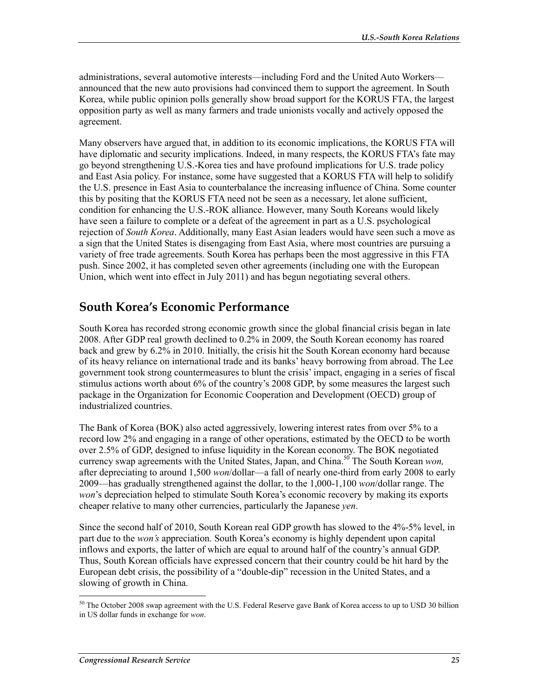administrations, several automotive interests—including Ford and the United Auto Workers announced that the new auto provisions had convinced them to support the agreement. In South Korea, while public opinion polls generally show broad support for the KORUS FTA, the largest opposition party as well as many farmers and trade unionists vocally and actively opposed the agreement.

Many observers have argued that, in addition to its economic implications, the KORUS FTA will have diplomatic and security implications. Indeed, in many respects, the KORUS FTA's fate may go beyond strengthening U.S.-Korea ties and have profound implications for U.S. trade policy and East Asia policy. For instance, some have suggested that a KORUS FTA will help to solidify the U.S. presence in East Asia to counterbalance the increasing influence of China. Some counter this by positing that the KORUS FTA need not be seen as a necessary, let alone sufficient, condition for enhancing the U.S.-ROK alliance. However, many South Koreans would likely have seen a failure to complete or a defeat of the agreement in part as a U.S. psychological rejection of *South Korea*. Additionally, many East Asian leaders would have seen such a move as a sign that the United States is disengaging from East Asia, where most countries are pursuing a variety of free trade agreements. South Korea has perhaps been the most aggressive in this FTA push. Since 2002, it has completed seven other agreements (including one with the European Union, which went into effect in July 2011) and has begun negotiating several others.

## **South Korea's Economic Performance**

South Korea has recorded strong economic growth since the global financial crisis began in late 2008. After GDP real growth declined to 0.2% in 2009, the South Korean economy has roared back and grew by 6.2% in 2010. Initially, the crisis hit the South Korean economy hard because of its heavy reliance on international trade and its banks' heavy borrowing from abroad. The Lee government took strong countermeasures to blunt the crisis' impact, engaging in a series of fiscal stimulus actions worth about 6% of the country's 2008 GDP, by some measures the largest such package in the Organization for Economic Cooperation and Development (OECD) group of industrialized countries.

The Bank of Korea (BOK) also acted aggressively, lowering interest rates from over 5% to a record low 2% and engaging in a range of other operations, estimated by the OECD to be worth over 2.5% of GDP, designed to infuse liquidity in the Korean economy. The BOK negotiated currency swap agreements with the United States, Japan, and China.<sup>50</sup> The South Korean *won*, after depreciating to around 1,500 *won*/dollar—a fall of nearly one-third from early 2008 to early 2009—has gradually strengthened against the dollar, to the 1,000-1,100 *won*/dollar range. The *won*'s depreciation helped to stimulate South Korea's economic recovery by making its exports cheaper relative to many other currencies, particularly the Japanese *yen*.

Since the second half of 2010, South Korean real GDP growth has slowed to the 4%-5% level, in part due to the *won's* appreciation. South Korea's economy is highly dependent upon capital inflows and exports, the latter of which are equal to around half of the country's annual GDP. Thus, South Korean officials have expressed concern that their country could be hit hard by the European debt crisis, the possibility of a "double-dip" recession in the United States, and a slowing of growth in China.

<sup>1</sup>  $50$  The October 2008 swap agreement with the U.S. Federal Reserve gave Bank of Korea access to up to USD 30 billion in US dollar funds in exchange for *won*.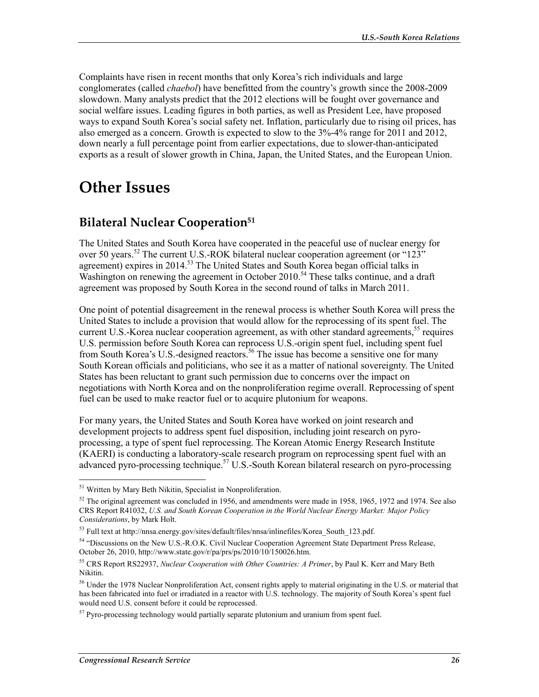Complaints have risen in recent months that only Korea's rich individuals and large conglomerates (called *chaebol*) have benefitted from the country's growth since the 2008-2009 slowdown. Many analysts predict that the 2012 elections will be fought over governance and social welfare issues. Leading figures in both parties, as well as President Lee, have proposed ways to expand South Korea's social safety net. Inflation, particularly due to rising oil prices, has also emerged as a concern. Growth is expected to slow to the 3%-4% range for 2011 and 2012, down nearly a full percentage point from earlier expectations, due to slower-than-anticipated exports as a result of slower growth in China, Japan, the United States, and the European Union.

## **Other Issues**

### **Bilateral Nuclear Cooperation51**

The United States and South Korea have cooperated in the peaceful use of nuclear energy for over 50 years.<sup>52</sup> The current U.S.-ROK bilateral nuclear cooperation agreement (or "123" agreement) expires in 2014.<sup>53</sup> The United States and South Korea began official talks in Washington on renewing the agreement in October 2010.<sup>54</sup> These talks continue, and a draft agreement was proposed by South Korea in the second round of talks in March 2011.

One point of potential disagreement in the renewal process is whether South Korea will press the United States to include a provision that would allow for the reprocessing of its spent fuel. The current U.S.-Korea nuclear cooperation agreement, as with other standard agreements,<sup>55</sup> requires U.S. permission before South Korea can reprocess U.S.-origin spent fuel, including spent fuel from South Korea's U.S.-designed reactors.<sup>56</sup> The issue has become a sensitive one for many South Korean officials and politicians, who see it as a matter of national sovereignty. The United States has been reluctant to grant such permission due to concerns over the impact on negotiations with North Korea and on the nonproliferation regime overall. Reprocessing of spent fuel can be used to make reactor fuel or to acquire plutonium for weapons.

For many years, the United States and South Korea have worked on joint research and development projects to address spent fuel disposition, including joint research on pyroprocessing, a type of spent fuel reprocessing. The Korean Atomic Energy Research Institute (KAERI) is conducting a laboratory-scale research program on reprocessing spent fuel with an advanced pyro-processing technique.<sup>57</sup> U.S.-South Korean bilateral research on pyro-processing

<u>.</u>

<sup>&</sup>lt;sup>51</sup> Written by Mary Beth Nikitin, Specialist in Nonproliferation.

<sup>&</sup>lt;sup>52</sup> The original agreement was concluded in 1956, and amendments were made in 1958, 1965, 1972 and 1974. See also CRS Report R41032, *U.S. and South Korean Cooperation in the World Nuclear Energy Market: Major Policy Considerations*, by Mark Holt.

 $53$  Full text at http://nnsa.energy.gov/sites/default/files/nnsa/inlinefiles/Korea\_South\_123.pdf.

<sup>54 &</sup>quot;Discussions on the New U.S.-R.O.K. Civil Nuclear Cooperation Agreement State Department Press Release, October 26, 2010, http://www.state.gov/r/pa/prs/ps/2010/10/150026.htm.

<sup>55</sup> CRS Report RS22937, *Nuclear Cooperation with Other Countries: A Primer*, by Paul K. Kerr and Mary Beth Nikitin.

<sup>&</sup>lt;sup>56</sup> Under the 1978 Nuclear Nonproliferation Act, consent rights apply to material originating in the U.S. or material that has been fabricated into fuel or irradiated in a reactor with U.S. technology. The majority of South Korea's spent fuel would need U.S. consent before it could be reprocessed.

 $57$  Pyro-processing technology would partially separate plutonium and uranium from spent fuel.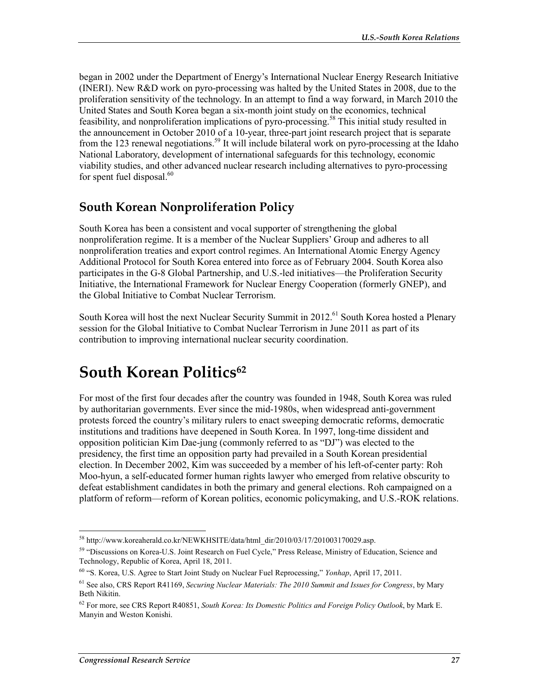began in 2002 under the Department of Energy's International Nuclear Energy Research Initiative (INERI). New R&D work on pyro-processing was halted by the United States in 2008, due to the proliferation sensitivity of the technology. In an attempt to find a way forward, in March 2010 the United States and South Korea began a six-month joint study on the economics, technical feasibility, and nonproliferation implications of pyro-processing.<sup>58</sup> This initial study resulted in the announcement in October 2010 of a 10-year, three-part joint research project that is separate from the 123 renewal negotiations.<sup>59</sup> It will include bilateral work on pyro-processing at the Idaho National Laboratory, development of international safeguards for this technology, economic viability studies, and other advanced nuclear research including alternatives to pyro-processing for spent fuel disposal. $60$ 

## **South Korean Nonproliferation Policy**

South Korea has been a consistent and vocal supporter of strengthening the global nonproliferation regime. It is a member of the Nuclear Suppliers' Group and adheres to all nonproliferation treaties and export control regimes. An International Atomic Energy Agency Additional Protocol for South Korea entered into force as of February 2004. South Korea also participates in the G-8 Global Partnership, and U.S.-led initiatives—the Proliferation Security Initiative, the International Framework for Nuclear Energy Cooperation (formerly GNEP), and the Global Initiative to Combat Nuclear Terrorism.

South Korea will host the next Nuclear Security Summit in 2012.<sup>61</sup> South Korea hosted a Plenary session for the Global Initiative to Combat Nuclear Terrorism in June 2011 as part of its contribution to improving international nuclear security coordination.

## **South Korean Politics**<sup>62</sup>

For most of the first four decades after the country was founded in 1948, South Korea was ruled by authoritarian governments. Ever since the mid-1980s, when widespread anti-government protests forced the country's military rulers to enact sweeping democratic reforms, democratic institutions and traditions have deepened in South Korea. In 1997, long-time dissident and opposition politician Kim Dae-jung (commonly referred to as "DJ") was elected to the presidency, the first time an opposition party had prevailed in a South Korean presidential election. In December 2002, Kim was succeeded by a member of his left-of-center party: Roh Moo-hyun, a self-educated former human rights lawyer who emerged from relative obscurity to defeat establishment candidates in both the primary and general elections. Roh campaigned on a platform of reform—reform of Korean politics, economic policymaking, and U.S.-ROK relations.

<sup>58</sup> http://www.koreaherald.co.kr/NEWKHSITE/data/html\_dir/2010/03/17/201003170029.asp.

<sup>59 &</sup>quot;Discussions on Korea-U.S. Joint Research on Fuel Cycle," Press Release, Ministry of Education, Science and Technology, Republic of Korea, April 18, 2011.

<sup>60 &</sup>quot;S. Korea, U.S. Agree to Start Joint Study on Nuclear Fuel Reprocessing," *Yonhap*, April 17, 2011.

<sup>61</sup> See also, CRS Report R41169, *Securing Nuclear Materials: The 2010 Summit and Issues for Congress*, by Mary Beth Nikitin.

<sup>62</sup> For more, see CRS Report R40851, *South Korea: Its Domestic Politics and Foreign Policy Outlook*, by Mark E. Manyin and Weston Konishi.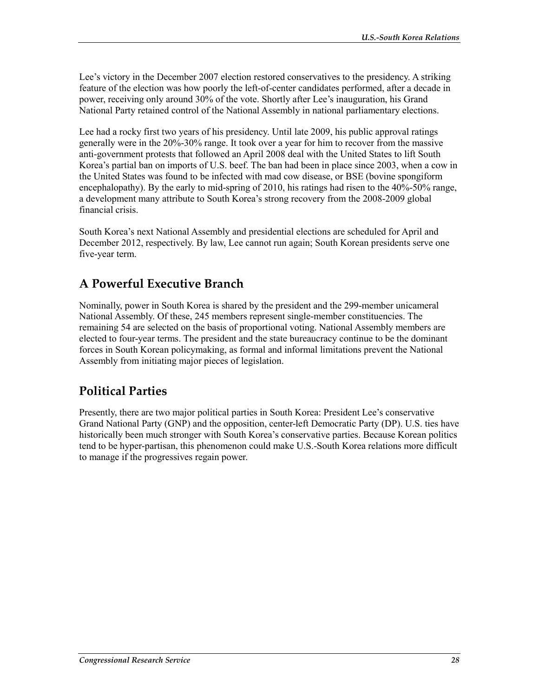Lee's victory in the December 2007 election restored conservatives to the presidency. A striking feature of the election was how poorly the left-of-center candidates performed, after a decade in power, receiving only around 30% of the vote. Shortly after Lee's inauguration, his Grand National Party retained control of the National Assembly in national parliamentary elections.

Lee had a rocky first two years of his presidency. Until late 2009, his public approval ratings generally were in the 20%-30% range. It took over a year for him to recover from the massive anti-government protests that followed an April 2008 deal with the United States to lift South Korea's partial ban on imports of U.S. beef. The ban had been in place since 2003, when a cow in the United States was found to be infected with mad cow disease, or BSE (bovine spongiform encephalopathy). By the early to mid-spring of 2010, his ratings had risen to the 40%-50% range, a development many attribute to South Korea's strong recovery from the 2008-2009 global financial crisis.

South Korea's next National Assembly and presidential elections are scheduled for April and December 2012, respectively. By law, Lee cannot run again; South Korean presidents serve one five-year term.

## **A Powerful Executive Branch**

Nominally, power in South Korea is shared by the president and the 299-member unicameral National Assembly. Of these, 245 members represent single-member constituencies. The remaining 54 are selected on the basis of proportional voting. National Assembly members are elected to four-year terms. The president and the state bureaucracy continue to be the dominant forces in South Korean policymaking, as formal and informal limitations prevent the National Assembly from initiating major pieces of legislation.

## **Political Parties**

Presently, there are two major political parties in South Korea: President Lee's conservative Grand National Party (GNP) and the opposition, center-left Democratic Party (DP). U.S. ties have historically been much stronger with South Korea's conservative parties. Because Korean politics tend to be hyper-partisan, this phenomenon could make U.S.-South Korea relations more difficult to manage if the progressives regain power.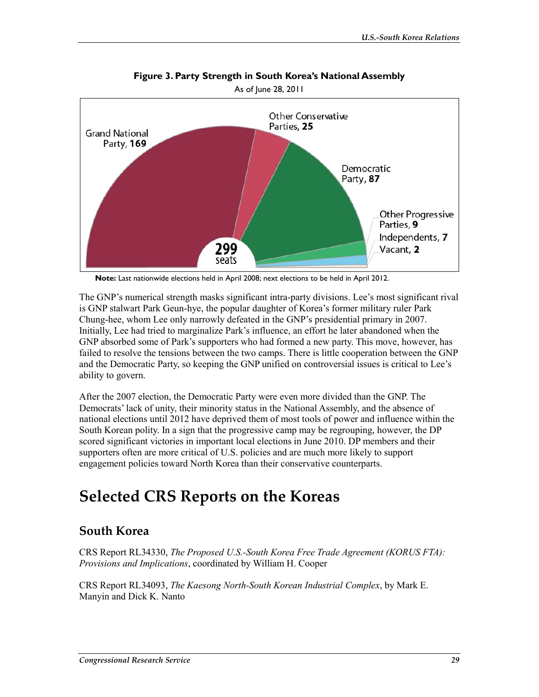

**Figure 3. Party Strength in South Korea's National Assembly** 

**Note:** Last nationwide elections held in April 2008; next elections to be held in April 2012.

The GNP's numerical strength masks significant intra-party divisions. Lee's most significant rival is GNP stalwart Park Geun-hye, the popular daughter of Korea's former military ruler Park Chung-hee, whom Lee only narrowly defeated in the GNP's presidential primary in 2007. Initially, Lee had tried to marginalize Park's influence, an effort he later abandoned when the GNP absorbed some of Park's supporters who had formed a new party. This move, however, has failed to resolve the tensions between the two camps. There is little cooperation between the GNP and the Democratic Party, so keeping the GNP unified on controversial issues is critical to Lee's ability to govern.

After the 2007 election, the Democratic Party were even more divided than the GNP. The Democrats' lack of unity, their minority status in the National Assembly, and the absence of national elections until 2012 have deprived them of most tools of power and influence within the South Korean polity. In a sign that the progressive camp may be regrouping, however, the DP scored significant victories in important local elections in June 2010. DP members and their supporters often are more critical of U.S. policies and are much more likely to support engagement policies toward North Korea than their conservative counterparts.

## **Selected CRS Reports on the Koreas**

### **South Korea**

CRS Report RL34330, *The Proposed U.S.-South Korea Free Trade Agreement (KORUS FTA): Provisions and Implications*, coordinated by William H. Cooper

CRS Report RL34093, *The Kaesong North-South Korean Industrial Complex*, by Mark E. Manyin and Dick K. Nanto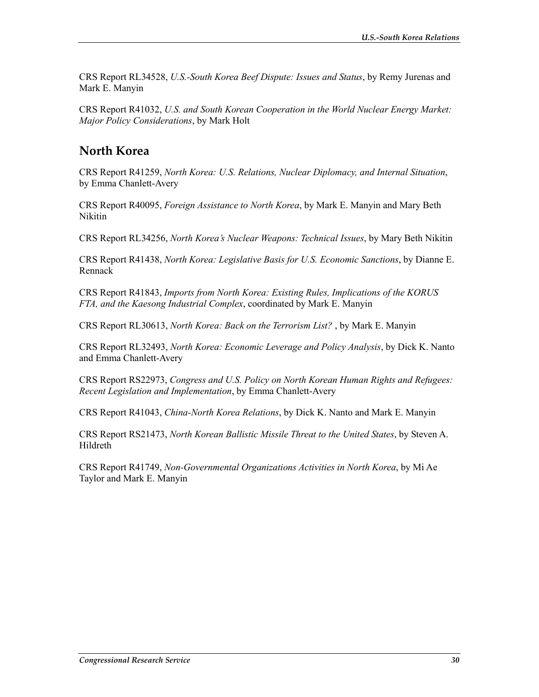CRS Report RL34528, *U.S.-South Korea Beef Dispute: Issues and Status*, by Remy Jurenas and Mark E. Manyin

CRS Report R41032, *U.S. and South Korean Cooperation in the World Nuclear Energy Market: Major Policy Considerations*, by Mark Holt

### **North Korea**

CRS Report R41259, *North Korea: U.S. Relations, Nuclear Diplomacy, and Internal Situation*, by Emma Chanlett-Avery

CRS Report R40095, *Foreign Assistance to North Korea*, by Mark E. Manyin and Mary Beth Nikitin

CRS Report RL34256, *North Korea's Nuclear Weapons: Technical Issues*, by Mary Beth Nikitin

CRS Report R41438, *North Korea: Legislative Basis for U.S. Economic Sanctions*, by Dianne E. Rennack

CRS Report R41843, *Imports from North Korea: Existing Rules, Implications of the KORUS FTA, and the Kaesong Industrial Complex*, coordinated by Mark E. Manyin

CRS Report RL30613, *North Korea: Back on the Terrorism List?* , by Mark E. Manyin

CRS Report RL32493, *North Korea: Economic Leverage and Policy Analysis*, by Dick K. Nanto and Emma Chanlett-Avery

CRS Report RS22973, *Congress and U.S. Policy on North Korean Human Rights and Refugees: Recent Legislation and Implementation*, by Emma Chanlett-Avery

CRS Report R41043, *China-North Korea Relations*, by Dick K. Nanto and Mark E. Manyin

CRS Report RS21473, *North Korean Ballistic Missile Threat to the United States*, by Steven A. Hildreth

CRS Report R41749, *Non-Governmental Organizations Activities in North Korea*, by Mi Ae Taylor and Mark E. Manyin